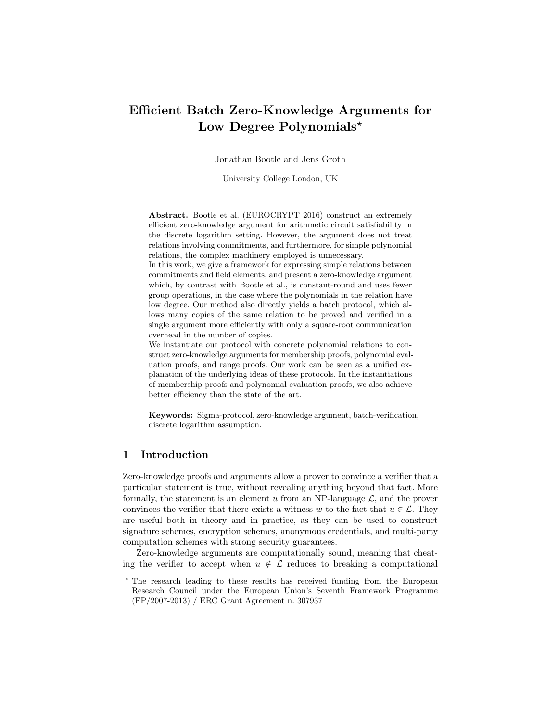# Efficient Batch Zero-Knowledge Arguments for Low Degree Polynomials\*

Jonathan Bootle and Jens Groth

University College London, UK

Abstract. Bootle et al. (EUROCRYPT 2016) construct an extremely efficient zero-knowledge argument for arithmetic circuit satisfiability in the discrete logarithm setting. However, the argument does not treat relations involving commitments, and furthermore, for simple polynomial relations, the complex machinery employed is unnecessary.

In this work, we give a framework for expressing simple relations between commitments and field elements, and present a zero-knowledge argument which, by contrast with Bootle et al., is constant-round and uses fewer group operations, in the case where the polynomials in the relation have low degree. Our method also directly yields a batch protocol, which allows many copies of the same relation to be proved and verified in a single argument more efficiently with only a square-root communication overhead in the number of copies.

We instantiate our protocol with concrete polynomial relations to construct zero-knowledge arguments for membership proofs, polynomial evaluation proofs, and range proofs. Our work can be seen as a unified explanation of the underlying ideas of these protocols. In the instantiations of membership proofs and polynomial evaluation proofs, we also achieve better efficiency than the state of the art.

Keywords: Sigma-protocol, zero-knowledge argument, batch-verification, discrete logarithm assumption.

# 1 Introduction

Zero-knowledge proofs and arguments allow a prover to convince a verifier that a particular statement is true, without revealing anything beyond that fact. More formally, the statement is an element  $u$  from an NP-language  $\mathcal{L}$ , and the prover convinces the verifier that there exists a witness w to the fact that  $u \in \mathcal{L}$ . They are useful both in theory and in practice, as they can be used to construct signature schemes, encryption schemes, anonymous credentials, and multi-party computation schemes with strong security guarantees.

Zero-knowledge arguments are computationally sound, meaning that cheating the verifier to accept when  $u \notin \mathcal{L}$  reduces to breaking a computational

<sup>?</sup> The research leading to these results has received funding from the European Research Council under the European Union's Seventh Framework Programme (FP/2007-2013) / ERC Grant Agreement n. 307937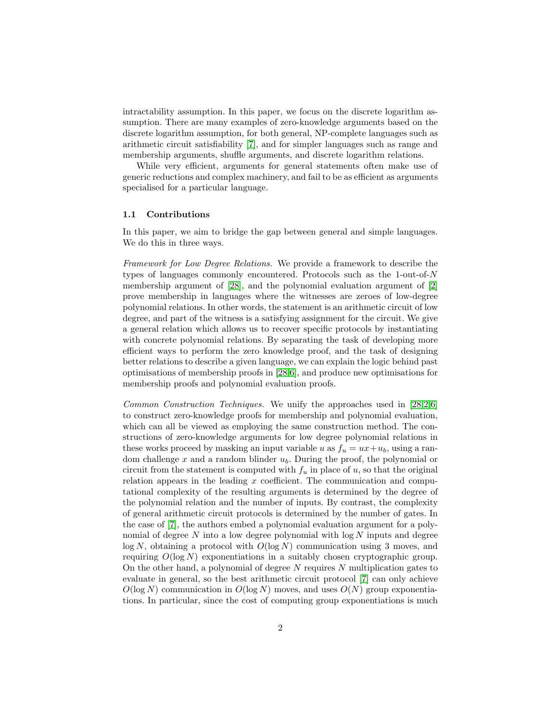intractability assumption. In this paper, we focus on the discrete logarithm assumption. There are many examples of zero-knowledge arguments based on the discrete logarithm assumption, for both general, NP-complete languages such as arithmetic circuit satisfiability [\[7\]](#page-25-0), and for simpler languages such as range and membership arguments, shuffle arguments, and discrete logarithm relations.

While very efficient, arguments for general statements often make use of generic reductions and complex machinery, and fail to be as efficient as arguments specialised for a particular language.

#### 1.1 Contributions

In this paper, we aim to bridge the gap between general and simple languages. We do this in three ways.

Framework for Low Degree Relations. We provide a framework to describe the types of languages commonly encountered. Protocols such as the 1-out-of-N membership argument of [\[28\]](#page-26-0), and the polynomial evaluation argument of [\[2\]](#page-25-1) prove membership in languages where the witnesses are zeroes of low-degree polynomial relations. In other words, the statement is an arithmetic circuit of low degree, and part of the witness is a satisfying assignment for the circuit. We give a general relation which allows us to recover specific protocols by instantiating with concrete polynomial relations. By separating the task of developing more efficient ways to perform the zero knowledge proof, and the task of designing better relations to describe a given language, we can explain the logic behind past optimisations of membership proofs in [\[28](#page-26-0)[,6\]](#page-25-2), and produce new optimisations for membership proofs and polynomial evaluation proofs.

Common Construction Techniques. We unify the approaches used in [\[28](#page-26-0)[,2,](#page-25-1)[6\]](#page-25-2) to construct zero-knowledge proofs for membership and polynomial evaluation, which can all be viewed as employing the same construction method. The constructions of zero-knowledge arguments for low degree polynomial relations in these works proceed by masking an input variable u as  $f_u = ux + u_b$ , using a random challenge  $x$  and a random blinder  $u<sub>b</sub>$ . During the proof, the polynomial or circuit from the statement is computed with  $f_u$  in place of u, so that the original relation appears in the leading  $x$  coefficient. The communication and computational complexity of the resulting arguments is determined by the degree of the polynomial relation and the number of inputs. By contrast, the complexity of general arithmetic circuit protocols is determined by the number of gates. In the case of [\[7\]](#page-25-0), the authors embed a polynomial evaluation argument for a polynomial of degree  $N$  into a low degree polynomial with  $\log N$  inputs and degree  $log N$ , obtaining a protocol with  $O(log N)$  communication using 3 moves, and requiring  $O(\log N)$  exponentiations in a suitably chosen cryptographic group. On the other hand, a polynomial of degree  $N$  requires  $N$  multiplication gates to evaluate in general, so the best arithmetic circuit protocol [\[7\]](#page-25-0) can only achieve  $O(\log N)$  communication in  $O(\log N)$  moves, and uses  $O(N)$  group exponentiations. In particular, since the cost of computing group exponentiations is much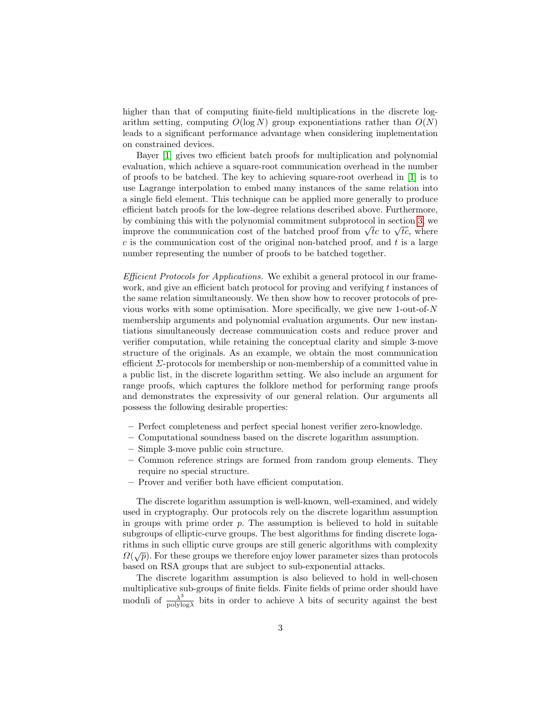higher than that of computing finite-field multiplications in the discrete logarithm setting, computing  $O(\log N)$  group exponentiations rather than  $O(N)$ leads to a significant performance advantage when considering implementation on constrained devices.

Bayer [\[1\]](#page-25-3) gives two efficient batch proofs for multiplication and polynomial evaluation, which achieve a square-root communication overhead in the number of proofs to be batched. The key to achieving square-root overhead in [\[1\]](#page-25-3) is to use Lagrange interpolation to embed many instances of the same relation into a single field element. This technique can be applied more generally to produce efficient batch proofs for the low-degree relations described above. Furthermore, by combining this with the polynomial commitment subprotocol in section [3,](#page-12-0) we by combining this with the polynomial commitment subprotocol in section 3, we improve the communication cost of the batched proof from  $\sqrt{tc}$  to  $\sqrt{tc}$ , where  $c$  is the communication cost of the original non-batched proof, and  $t$  is a large number representing the number of proofs to be batched together.

Efficient Protocols for Applications. We exhibit a general protocol in our framework, and give an efficient batch protocol for proving and verifying t instances of the same relation simultaneously. We then show how to recover protocols of previous works with some optimisation. More specifically, we give new 1-out-of- $N$ membership arguments and polynomial evaluation arguments. Our new instantiations simultaneously decrease communication costs and reduce prover and verifier computation, while retaining the conceptual clarity and simple 3-move structure of the originals. As an example, we obtain the most communication efficient Σ-protocols for membership or non-membership of a committed value in a public list, in the discrete logarithm setting. We also include an argument for range proofs, which captures the folklore method for performing range proofs and demonstrates the expressivity of our general relation. Our arguments all possess the following desirable properties:

- Perfect completeness and perfect special honest verifier zero-knowledge.
- Computational soundness based on the discrete logarithm assumption.
- Simple 3-move public coin structure.
- Common reference strings are formed from random group elements. They require no special structure.
- Prover and verifier both have efficient computation.

The discrete logarithm assumption is well-known, well-examined, and widely used in cryptography. Our protocols rely on the discrete logarithm assumption in groups with prime order  $p$ . The assumption is believed to hold in suitable subgroups of elliptic-curve groups. The best algorithms for finding discrete logarithms in such elliptic curve groups are still generic algorithms with complexity  $\Omega(\sqrt{p})$ . For these groups we therefore enjoy lower parameter sizes than protocols based on RSA groups that are subject to sub-exponential attacks.

The discrete logarithm assumption is also believed to hold in well-chosen multiplicative sub-groups of finite fields. Finite fields of prime order should have moduli of  $\frac{\lambda^3}{\text{polylog}}$  $\frac{\lambda^{\circ}}{\text{polylog }\lambda}$  bits in order to achieve  $\lambda$  bits of security against the best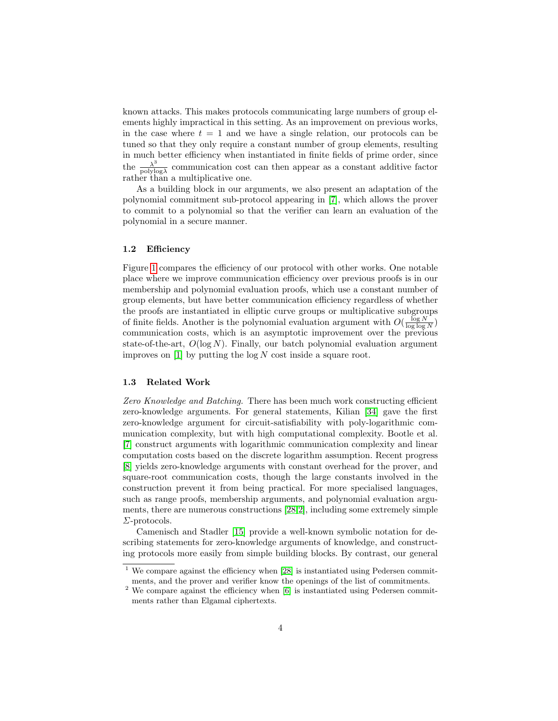known attacks. This makes protocols communicating large numbers of group elements highly impractical in this setting. As an improvement on previous works, in the case where  $t = 1$  and we have a single relation, our protocols can be tuned so that they only require a constant number of group elements, resulting in much better efficiency when instantiated in finite fields of prime order, since the  $\frac{\lambda^3}{\text{polylog}}$  $\frac{\lambda^{\circ}}{\text{polylog }\lambda}$  communication cost can then appear as a constant additive factor rather than a multiplicative one.

As a building block in our arguments, we also present an adaptation of the polynomial commitment sub-protocol appearing in [\[7\]](#page-25-0), which allows the prover to commit to a polynomial so that the verifier can learn an evaluation of the polynomial in a secure manner.

#### 1.2 Efficiency

Figure [1](#page-4-0) compares the efficiency of our protocol with other works. One notable place where we improve communication efficiency over previous proofs is in our membership and polynomial evaluation proofs, which use a constant number of group elements, but have better communication efficiency regardless of whether the proofs are instantiated in elliptic curve groups or multiplicative subgroups of finite fields. Another is the polynomial evaluation argument with  $O(\frac{\log N}{\log \log N})$ communication costs, which is an asymptotic improvement over the previous state-of-the-art,  $O(\log N)$ . Finally, our batch polynomial evaluation argument improves on  $[1]$  by putting the  $\log N$  cost inside a square root.

## 1.3 Related Work

Zero Knowledge and Batching. There has been much work constructing efficient zero-knowledge arguments. For general statements, Kilian [\[34\]](#page-27-0) gave the first zero-knowledge argument for circuit-satisfiability with poly-logarithmic communication complexity, but with high computational complexity. Bootle et al. [\[7\]](#page-25-0) construct arguments with logarithmic communication complexity and linear computation costs based on the discrete logarithm assumption. Recent progress [\[8\]](#page-25-4) yields zero-knowledge arguments with constant overhead for the prover, and square-root communication costs, though the large constants involved in the construction prevent it from being practical. For more specialised languages, such as range proofs, membership arguments, and polynomial evaluation arguments, there are numerous constructions [\[28,](#page-26-0)[2\]](#page-25-1), including some extremely simple Σ-protocols.

Camenisch and Stadler [\[15\]](#page-26-1) provide a well-known symbolic notation for describing statements for zero-knowledge arguments of knowledge, and constructing protocols more easily from simple building blocks. By contrast, our general

 $1$  We compare against the efficiency when [\[28\]](#page-26-0) is instantiated using Pedersen commitments, and the prover and verifier know the openings of the list of commitments.

 $2$  We compare against the efficiency when [\[6\]](#page-25-2) is instantiated using Pedersen commitments rather than Elgamal ciphertexts.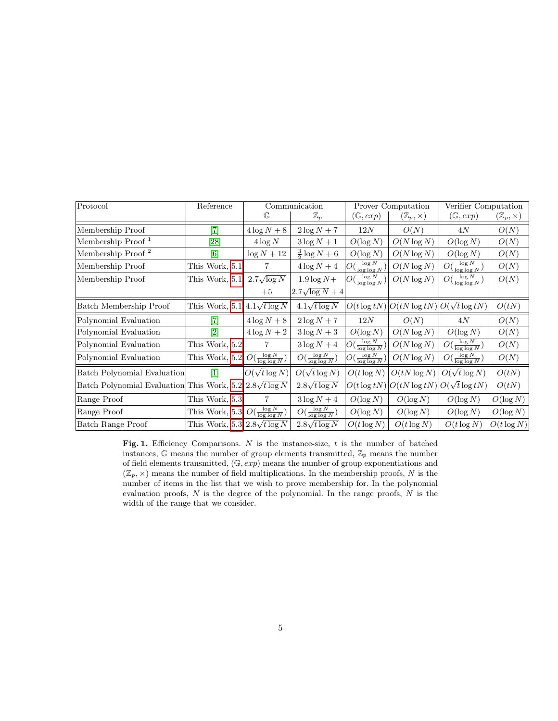| Protocol                                                        | Reference                                                                                                                                                                                                | Communication        |                                 | Prover Computation              |                         | Verifier Computation            |                         |
|-----------------------------------------------------------------|----------------------------------------------------------------------------------------------------------------------------------------------------------------------------------------------------------|----------------------|---------------------------------|---------------------------------|-------------------------|---------------------------------|-------------------------|
|                                                                 |                                                                                                                                                                                                          | G                    | $\mathbb{Z}_p$                  | $(\mathbb{G}, exp)$             | $(\mathbb{Z}_p,\times)$ | $(\mathbb{G}, exp)$             | $(\mathbb{Z}_p,\times)$ |
| Membership Proof                                                | $[7]$                                                                                                                                                                                                    | $4\log N + 8$        | $2\log N + 7$                   | 12N                             | O(N)                    | 4N                              | O(N)                    |
| Membership Proof <sup>1</sup>                                   | [28]                                                                                                                                                                                                     | $4\log N$            | $3\log N+1$                     | $O(\log N)$                     | $O(N \log N)$           | $O(\log N)$                     | O(N)                    |
| Membership Proof <sup>2</sup>                                   | $[6] % \includegraphics[width=0.9\columnwidth]{figures/fig_0a.pdf} \caption{A small number of samples in the left and right. The left and right is the number of samples in the right.} \label{fig:1} %$ | $\log N + 12$        | $rac{3}{2}$ log $N + 6$         | $O(\log N)$                     | $O(N \log N)$           | $O(\log N)$                     | O(N)                    |
| Membership Proof                                                | This Work, 5.1                                                                                                                                                                                           | 7                    | $4\log N+4$                     | $O(\frac{\log N}{\log \log N})$ | $O(N \log N)$           | $O(\frac{\log N}{\log \log N})$ | O(N)                    |
| Membership Proof                                                | This Work, 5.1                                                                                                                                                                                           | $2.7\sqrt{\log N}$   | $1.9\log N+$                    | $O(\frac{\log N}{\log \log N})$ | $O(N \log N)$           | $O(\frac{\log N}{\log \log N})$ | O(N)                    |
|                                                                 |                                                                                                                                                                                                          | $+5$                 | $2.7\sqrt{\log N}+4$            |                                 |                         |                                 |                         |
| Batch Membership Proof                                          | This Work, 5.1                                                                                                                                                                                           | $4.1\sqrt{t \log N}$ | $4.1\sqrt{t \log N}$            | $O(t \log t N)$                 | $O(tN\log tN)$          | $O(\sqrt{t}\log tN)$            | O(tN)                   |
| Polynomial Evaluation                                           | $[7]$                                                                                                                                                                                                    | $4\log N + 8$        | $2\log N + 7$                   | 12N                             | O(N)                    | 4N                              | O(N)                    |
| Polynomial Evaluation                                           | [2]                                                                                                                                                                                                      | $4\log N+2$          | $3\log N+3$                     | $O(\log N)$                     | $O(N \log N)$           | $O(\log N)$                     | O(N)                    |
| Polynomial Evaluation                                           | This Work, 5.2                                                                                                                                                                                           |                      | $3\log N+4$                     | $O(\frac{\log N}{\log \log N})$ | $O(N \log N)$           | $O(\frac{\log N}{\log \log N})$ | O(N)                    |
| Polynomial Evaluation                                           | This Work, 5.2 $O(\frac{\log N}{\log \log N})$                                                                                                                                                           |                      | $O(\frac{\log N}{\log \log N})$ | $O(\frac{\log N}{\log \log N})$ | $O(N \log N)$           | $O(\frac{\log N}{\log \log N})$ | O(N)                    |
| Batch Polynomial Evaluation                                     |                                                                                                                                                                                                          | $O(\sqrt{t}\log N)$  | $O(\sqrt{t}\log N)$             | $O(t \log N)$                   | $O(tN\log N)$           | $O(\sqrt{t}\log N)$             | O(tN)                   |
| Batch Polynomial Evaluation This Work, $5.2 2.8\sqrt{t \log N}$ |                                                                                                                                                                                                          |                      | $2.8\sqrt{t \log N}$            | $O(t \log t N)$                 | $O(tN\log tN)$          | $O(\sqrt{t}\log tN)$            | O(tN)                   |
| Range Proof                                                     | This Work, 5.3                                                                                                                                                                                           | 7                    | $3\log N+4$                     | $O(\log N)$                     | $O(\log N)$             | $O(\log N)$                     | $O(\log N)$             |
| Range Proof                                                     | This Work, 5.3 $O(\frac{\log N}{\log \log N})$                                                                                                                                                           |                      | $O(\frac{\log N}{\log \log N})$ | $O(\log N)$                     | $O(\log N)$             | $O(\log N)$                     | $O(\log N)$             |
| <b>Batch Range Proof</b>                                        | This Work, $5.3 2.8\sqrt{t \log N}$                                                                                                                                                                      |                      | $2.8\sqrt{t \log N}$            | $O(t \log N)$                   | $O(t \log N)$           | $O(t \log N)$                   | $O(t \log N)$           |

<span id="page-4-0"></span>Fig. 1. Efficiency Comparisons.  $N$  is the instance-size,  $t$  is the number of batched instances,  $\mathbb G$  means the number of group elements transmitted,  $\mathbb Z_p$  means the number of field elements transmitted,  $(\mathbb{G}, exp)$  means the number of group exponentiations and  $(\mathbb{Z}_p, \times)$  means the number of field multiplications. In the membership proofs, N is the number of items in the list that we wish to prove membership for. In the polynomial evaluation proofs,  $N$  is the degree of the polynomial. In the range proofs,  $N$  is the width of the range that we consider.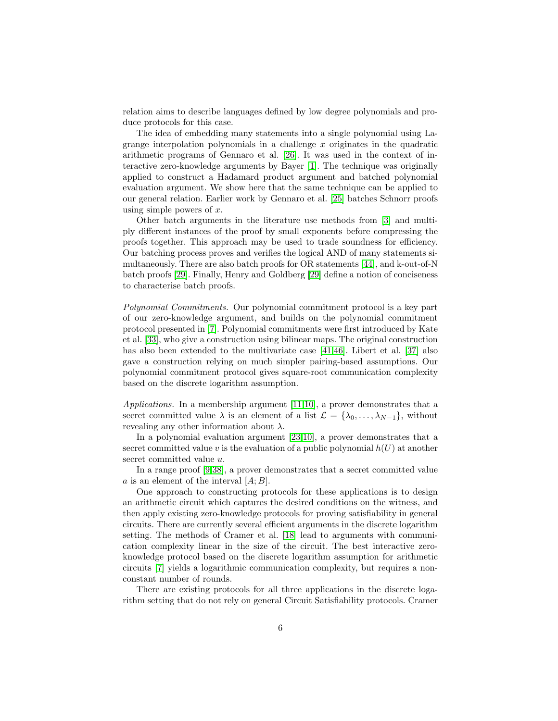relation aims to describe languages defined by low degree polynomials and produce protocols for this case.

The idea of embedding many statements into a single polynomial using Lagrange interpolation polynomials in a challenge  $x$  originates in the quadratic arithmetic programs of Gennaro et al. [\[26\]](#page-26-2). It was used in the context of interactive zero-knowledge arguments by Bayer [\[1\]](#page-25-3). The technique was originally applied to construct a Hadamard product argument and batched polynomial evaluation argument. We show here that the same technique can be applied to our general relation. Earlier work by Gennaro et al. [\[25\]](#page-26-3) batches Schnorr proofs using simple powers of  $x$ .

Other batch arguments in the literature use methods from [\[3\]](#page-25-5) and multiply different instances of the proof by small exponents before compressing the proofs together. This approach may be used to trade soundness for efficiency. Our batching process proves and verifies the logical AND of many statements simultaneously. There are also batch proofs for OR statements [\[44\]](#page-27-1), and k-out-of-N batch proofs [\[29\]](#page-26-4). Finally, Henry and Goldberg [\[29\]](#page-26-4) define a notion of conciseness to characterise batch proofs.

Polynomial Commitments. Our polynomial commitment protocol is a key part of our zero-knowledge argument, and builds on the polynomial commitment protocol presented in [\[7\]](#page-25-0). Polynomial commitments were first introduced by Kate et al. [\[33\]](#page-27-2), who give a construction using bilinear maps. The original construction has also been extended to the multivariate case [\[41,](#page-27-3)[46\]](#page-27-4). Libert et al. [\[37\]](#page-27-5) also gave a construction relying on much simpler pairing-based assumptions. Our polynomial commitment protocol gives square-root communication complexity based on the discrete logarithm assumption.

Applications. In a membership argument [\[11](#page-26-5)[,10\]](#page-25-6), a prover demonstrates that a secret committed value  $\lambda$  is an element of a list  $\mathcal{L} = {\lambda_0, \ldots, \lambda_{N-1}}$ , without revealing any other information about  $\lambda$ .

In a polynomial evaluation argument [\[23,](#page-26-6)[10\]](#page-25-6), a prover demonstrates that a secret committed value v is the evaluation of a public polynomial  $h(U)$  at another secret committed value  $u$ .

In a range proof [\[9](#page-25-7)[,38\]](#page-27-6), a prover demonstrates that a secret committed value a is an element of the interval  $[A;B]$ .

One approach to constructing protocols for these applications is to design an arithmetic circuit which captures the desired conditions on the witness, and then apply existing zero-knowledge protocols for proving satisfiability in general circuits. There are currently several efficient arguments in the discrete logarithm setting. The methods of Cramer et al. [\[18\]](#page-26-7) lead to arguments with communication complexity linear in the size of the circuit. The best interactive zeroknowledge protocol based on the discrete logarithm assumption for arithmetic circuits [\[7\]](#page-25-0) yields a logarithmic communication complexity, but requires a nonconstant number of rounds.

There are existing protocols for all three applications in the discrete logarithm setting that do not rely on general Circuit Satisfiability protocols. Cramer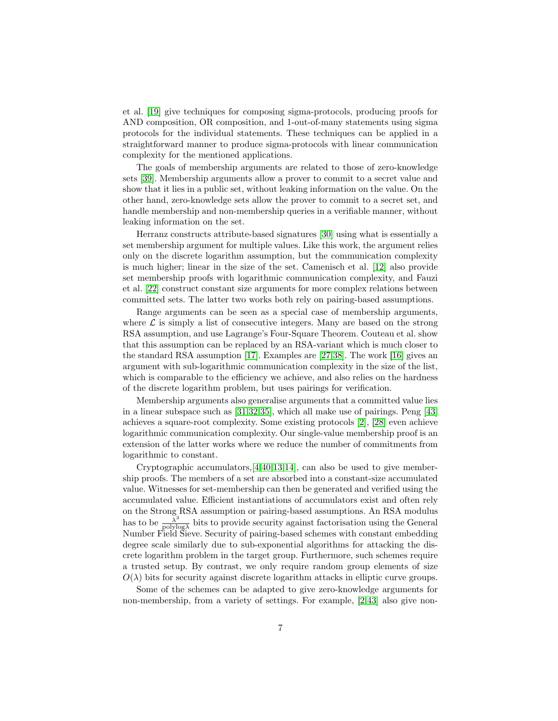et al. [\[19\]](#page-26-8) give techniques for composing sigma-protocols, producing proofs for AND composition, OR composition, and 1-out-of-many statements using sigma protocols for the individual statements. These techniques can be applied in a straightforward manner to produce sigma-protocols with linear communication complexity for the mentioned applications.

The goals of membership arguments are related to those of zero-knowledge sets [\[39\]](#page-27-7). Membership arguments allow a prover to commit to a secret value and show that it lies in a public set, without leaking information on the value. On the other hand, zero-knowledge sets allow the prover to commit to a secret set, and handle membership and non-membership queries in a verifiable manner, without leaking information on the set.

Herranz constructs attribute-based signatures [\[30\]](#page-26-9) using what is essentially a set membership argument for multiple values. Like this work, the argument relies only on the discrete logarithm assumption, but the communication complexity is much higher; linear in the size of the set. Camenisch et al. [\[12\]](#page-26-10) also provide set membership proofs with logarithmic communication complexity, and Fauzi et al. [\[22\]](#page-26-11) construct constant size arguments for more complex relations between committed sets. The latter two works both rely on pairing-based assumptions.

Range arguments can be seen as a special case of membership arguments, where  $\mathcal L$  is simply a list of consecutive integers. Many are based on the strong RSA assumption, and use Lagrange's Four-Square Theorem. Couteau et al. show that this assumption can be replaced by an RSA-variant which is much closer to the standard RSA assumption [\[17\]](#page-26-12). Examples are [\[27,](#page-26-13)[38\]](#page-27-6). The work [\[16\]](#page-26-14) gives an argument with sub-logarithmic communication complexity in the size of the list, which is comparable to the efficiency we achieve, and also relies on the hardness of the discrete logarithm problem, but uses pairings for verification.

Membership arguments also generalise arguments that a committed value lies in a linear subspace such as [\[31,](#page-27-8)[32,](#page-27-9)[35\]](#page-27-10), which all make use of pairings. Peng [\[43\]](#page-27-11) achieves a square-root complexity. Some existing protocols [\[2\]](#page-25-1), [\[28\]](#page-26-0) even achieve logarithmic communication complexity. Our single-value membership proof is an extension of the latter works where we reduce the number of commitments from logarithmic to constant.

Cryptographic accumulators,[\[4](#page-25-8)[,40,](#page-27-12)[13,](#page-26-15)[14\]](#page-26-16), can also be used to give membership proofs. The members of a set are absorbed into a constant-size accumulated value. Witnesses for set-membership can then be generated and verified using the accumulated value. Efficient instantiations of accumulators exist and often rely on the Strong RSA assumption or pairing-based assumptions. An RSA modulus has to be  $\frac{\lambda^3}{\text{polyl}}$  $\frac{\lambda^3}{\text{polylog }\lambda}$  bits to provide security against factorisation using the General Number Field Sieve. Security of pairing-based schemes with constant embedding degree scale similarly due to sub-exponential algorithms for attacking the discrete logarithm problem in the target group. Furthermore, such schemes require a trusted setup. By contrast, we only require random group elements of size  $O(\lambda)$  bits for security against discrete logarithm attacks in elliptic curve groups.

Some of the schemes can be adapted to give zero-knowledge arguments for non-membership, from a variety of settings. For example, [\[2,](#page-25-1)[43\]](#page-27-11) also give non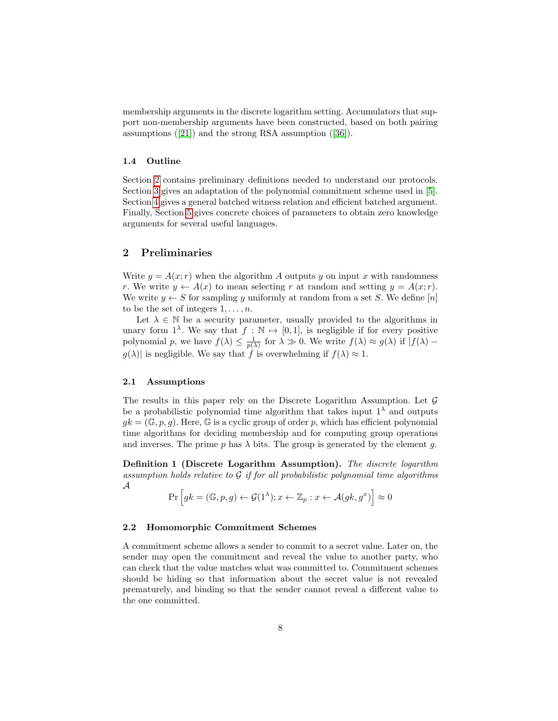membership arguments in the discrete logarithm setting. Accumulators that support non-membership arguments have been constructed, based on both pairing assumptions ([\[21\]](#page-26-17)) and the strong RSA assumption ([\[36\]](#page-27-13)).

#### 1.4 Outline

Section [2](#page-7-0) contains preliminary definitions needed to understand our protocols. Section [3](#page-12-0) gives an adaptation of the polynomial commitment scheme used in [\[5\]](#page-25-9). Section [4](#page-17-0) gives a general batched witness relation and efficient batched argument. Finally, Section [5](#page-21-0) gives concrete choices of parameters to obtain zero knowledge arguments for several useful languages.

# <span id="page-7-0"></span>2 Preliminaries

Write  $y = A(x; r)$  when the algorithm A outputs y on input x with randomness r. We write  $y \leftarrow A(x)$  to mean selecting r at random and setting  $y = A(x; r)$ . We write  $y \leftarrow S$  for sampling y uniformly at random from a set S. We define [n] to be the set of integers  $1, \ldots, n$ .

Let  $\lambda \in \mathbb{N}$  be a security parameter, usually provided to the algorithms in unary form  $1^{\lambda}$ . We say that  $f : \mathbb{N} \to [0, 1]$ , is negligible if for every positive polynomial p, we have  $f(\lambda) \leq \frac{1}{p(\lambda)}$  for  $\lambda \gg 0$ . We write  $f(\lambda) \approx g(\lambda)$  if  $|f(\lambda)$  $g(\lambda)$  is negligible. We say that f is overwhelming if  $f(\lambda) \approx 1$ .

## 2.1 Assumptions

The results in this paper rely on the Discrete Logarithm Assumption. Let  $\mathcal G$ be a probabilistic polynomial time algorithm that takes input  $1^{\lambda}$  and outputs  $qk = (\mathbb{G}, p, q)$ . Here,  $\mathbb{G}$  is a cyclic group of order p, which has efficient polynomial time algorithms for deciding membership and for computing group operations and inverses. The prime p has  $\lambda$  bits. The group is generated by the element g.

Definition 1 (Discrete Logarithm Assumption). The discrete logarithm assumption holds relative to  $G$  if for all probabilistic polynomial time algorithms A

$$
\Pr\left[gk = (\mathbb{G}, p, g) \leftarrow \mathcal{G}(1^{\lambda}); x \leftarrow \mathbb{Z}_p : x \leftarrow \mathcal{A}(gk, g^x)\right] \approx 0
$$

#### 2.2 Homomorphic Commitment Schemes

A commitment scheme allows a sender to commit to a secret value. Later on, the sender may open the commitment and reveal the value to another party, who can check that the value matches what was committed to. Commitment schemes should be hiding so that information about the secret value is not revealed prematurely, and binding so that the sender cannot reveal a different value to the one committed.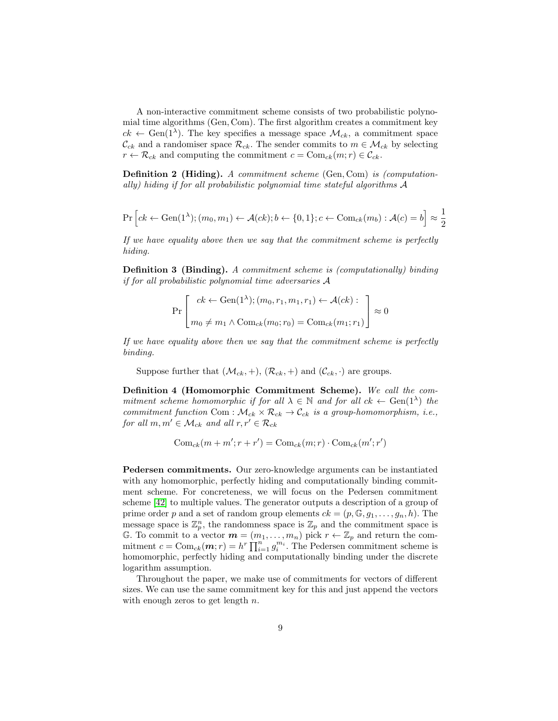A non-interactive commitment scheme consists of two probabilistic polynomial time algorithms (Gen, Com). The first algorithm creates a commitment key  $ck \leftarrow \text{Gen}(1^{\lambda})$ . The key specifies a message space  $\mathcal{M}_{ck}$ , a commitment space  $\mathcal{C}_{ck}$  and a randomiser space  $\mathcal{R}_{ck}$ . The sender commits to  $m \in \mathcal{M}_{ck}$  by selecting  $r \leftarrow \mathcal{R}_{ck}$  and computing the commitment  $c = \text{Com}_{ck}(m; r) \in \mathcal{C}_{ck}$ .

Definition 2 (Hiding). A commitment scheme (Gen, Com) is (computationally) hiding if for all probabilistic polynomial time stateful algorithms A

$$
\Pr\left[ck \leftarrow \text{Gen}(1^{\lambda}); (m_0, m_1) \leftarrow \mathcal{A}(ck); b \leftarrow \{0, 1\}; c \leftarrow \text{Com}_{ck}(m_b) : \mathcal{A}(c) = b\right] \approx \frac{1}{2}
$$

If we have equality above then we say that the commitment scheme is perfectly hiding.

Definition 3 (Binding). A commitment scheme is (computationally) binding if for all probabilistic polynomial time adversaries A

$$
\Pr\left[\begin{array}{c} ck \leftarrow \text{Gen}(1^{\lambda}); (m_0, r_1, m_1, r_1) \leftarrow \mathcal{A}(ck): \\ m_0 \neq m_1 \wedge \text{Com}_{ck}(m_0; r_0) = \text{Com}_{ck}(m_1; r_1) \end{array}\right] \approx 0
$$

If we have equality above then we say that the commitment scheme is perfectly binding.

Suppose further that  $(\mathcal{M}_{ck}, +), (\mathcal{R}_{ck}, +)$  and  $(\mathcal{C}_{ck}, \cdot)$  are groups.

Definition 4 (Homomorphic Commitment Scheme). We call the commitment scheme homomorphic if for all  $\lambda \in \mathbb{N}$  and for all  $ck \leftarrow \text{Gen}(1^{\lambda})$  the commitment function Com :  $\mathcal{M}_{ck} \times \mathcal{R}_{ck} \to \mathcal{C}_{ck}$  is a group-homomorphism, i.e., for all  $m, m' \in \mathcal{M}_{ck}$  and all  $r, r' \in \mathcal{R}_{ck}$ 

$$
Com_{ck}(m + m'; r + r') = Com_{ck}(m; r) \cdot Com_{ck}(m'; r')
$$

Pedersen commitments. Our zero-knowledge arguments can be instantiated with any homomorphic, perfectly hiding and computationally binding commitment scheme. For concreteness, we will focus on the Pedersen commitment scheme [\[42\]](#page-27-14) to multiple values. The generator outputs a description of a group of prime order p and a set of random group elements  $ck = (p, \mathbb{G}, g_1, \ldots, g_n, h)$ . The message space is  $\mathbb{Z}_p^n$ , the randomness space is  $\mathbb{Z}_p$  and the commitment space is G. To commit to a vector  $\mathbf{m} = (m_1, \ldots, m_n)$  pick  $r \leftarrow \mathbb{Z}_p$  and return the commitment  $c = \text{Com}_{ck}(m; r) = h^r \prod_{i=1}^n g_i^{m_i}$ . The Pedersen commitment scheme is homomorphic, perfectly hiding and computationally binding under the discrete logarithm assumption.

Throughout the paper, we make use of commitments for vectors of different sizes. We can use the same commitment key for this and just append the vectors with enough zeros to get length  $n$ .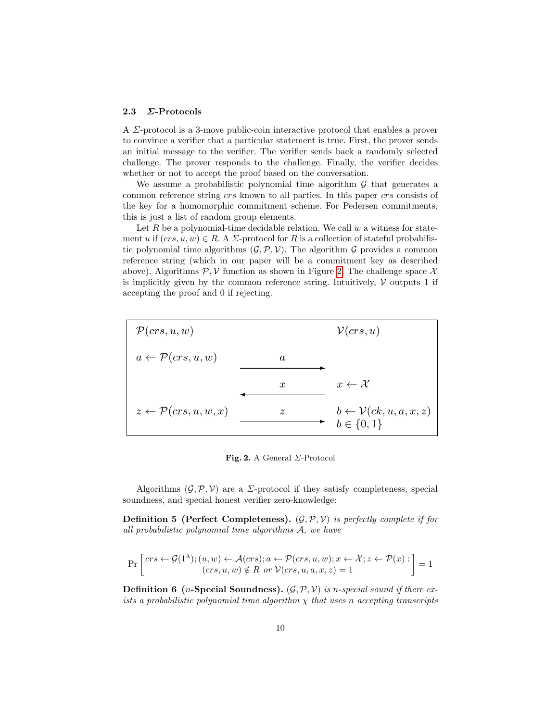#### 2.3 Σ-Protocols

A Σ-protocol is a 3-move public-coin interactive protocol that enables a prover to convince a verifier that a particular statement is true. First, the prover sends an initial message to the verifier. The verifier sends back a randomly selected challenge. The prover responds to the challenge. Finally, the verifier decides whether or not to accept the proof based on the conversation.

We assume a probabilistic polynomial time algorithm  $G$  that generates a common reference string crs known to all parties. In this paper crs consists of the key for a homomorphic commitment scheme. For Pedersen commitments, this is just a list of random group elements.

Let R be a polynomial-time decidable relation. We call  $w$  a witness for statement u if  $(crs, u, w) \in R$ . A  $\Sigma$ -protocol for R is a collection of stateful probabilistic polynomial time algorithms  $(G, \mathcal{P}, \mathcal{V})$ . The algorithm G provides a common reference string (which in our paper will be a commitment key as described above). Algorithms  $\mathcal{P}, \mathcal{V}$  function as shown in Figure [2.](#page-9-0) The challenge space X is implicitly given by the common reference string. Intuitively,  $\mathcal V$  outputs 1 if accepting the proof and 0 if rejecting.



<span id="page-9-0"></span>Fig. 2. A General  $\Sigma$ -Protocol

Algorithms  $(\mathcal{G}, \mathcal{P}, \mathcal{V})$  are a *Σ*-protocol if they satisfy completeness, special soundness, and special honest verifier zero-knowledge:

**Definition 5 (Perfect Completeness).**  $(\mathcal{G}, \mathcal{P}, \mathcal{V})$  is perfectly complete if for all probabilistic polynomial time algorithms A, we have

$$
\Pr\left[\begin{matrix}crs \leftarrow \mathcal{G}(1^{\lambda}); (u, w) \leftarrow \mathcal{A}(crs); a \leftarrow \mathcal{P}(crs, u, w); x \leftarrow \mathcal{X}; z \leftarrow \mathcal{P}(x): \\\text{(crs, u, w) \notin R \text{ or } \mathcal{V}(crs, u, a, x, z) = 1\end{matrix}\right] = 1\right]
$$

**Definition 6** (*n*-Special Soundness).  $(\mathcal{G}, \mathcal{P}, \mathcal{V})$  is *n*-special sound if there exists a probabilistic polynomial time algorithm  $\chi$  that uses n accepting transcripts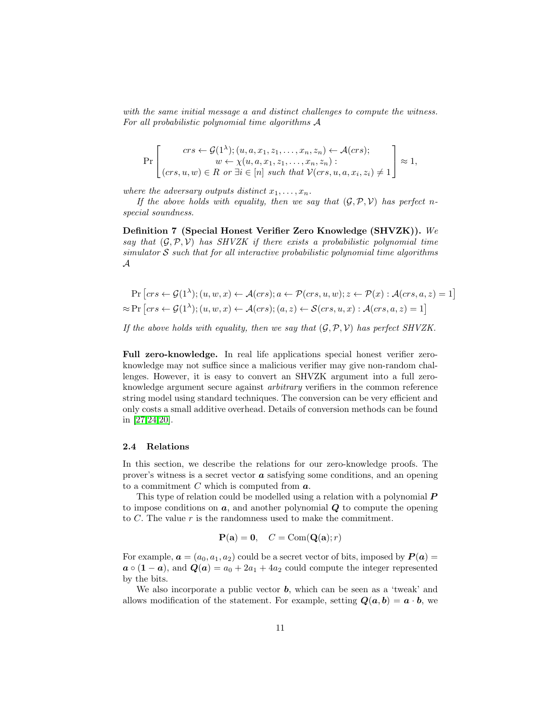with the same initial message a and distinct challenges to compute the witness. For all probabilistic polynomial time algorithms A

$$
\Pr\left[\begin{array}{c} crs \leftarrow \mathcal{G}(1^{\lambda}); (u, a, x_1, z_1, \dots, x_n, z_n) \leftarrow \mathcal{A}(crs); \\ w \leftarrow \chi(u, a, x_1, z_1, \dots, x_n, z_n): \\ (crs, u, w) \in R \text{ or } \exists i \in [n] \text{ such that } \mathcal{V}(crs, u, a, x_i, z_i) \neq 1 \end{array}\right] \approx 1,
$$

where the adversary outputs distinct  $x_1, \ldots, x_n$ .

If the above holds with equality, then we say that  $(\mathcal{G}, \mathcal{P}, \mathcal{V})$  has perfect nspecial soundness.

Definition 7 (Special Honest Verifier Zero Knowledge (SHVZK)). We say that  $(G, \mathcal{P}, \mathcal{V})$  has SHVZK if there exists a probabilistic polynomial time simulator  $S$  such that for all interactive probabilistic polynomial time algorithms A

$$
\Pr\left[ crs \leftarrow \mathcal{G}(1^{\lambda}); (u, w, x) \leftarrow \mathcal{A}(crs); a \leftarrow \mathcal{P}(crs, u, w); z \leftarrow \mathcal{P}(x): \mathcal{A}(crs, a, z) = 1\right] \approx \Pr\left[ crs \leftarrow \mathcal{G}(1^{\lambda}); (u, w, x) \leftarrow \mathcal{A}(crs); (a, z) \leftarrow \mathcal{S}(crs, u, x): \mathcal{A}(crs, a, z) = 1\right]
$$

If the above holds with equality, then we say that  $(\mathcal{G}, \mathcal{P}, \mathcal{V})$  has perfect SHVZK.

Full zero-knowledge. In real life applications special honest verifier zeroknowledge may not suffice since a malicious verifier may give non-random challenges. However, it is easy to convert an SHVZK argument into a full zeroknowledge argument secure against arbitrary verifiers in the common reference string model using standard techniques. The conversion can be very efficient and only costs a small additive overhead. Details of conversion methods can be found in [\[27,](#page-26-13)[24,](#page-26-18)[20\]](#page-26-19).

#### 2.4 Relations

In this section, we describe the relations for our zero-knowledge proofs. The prover's witness is a secret vector  $\boldsymbol{a}$  satisfying some conditions, and an opening to a commitment  $C$  which is computed from  $a$ .

This type of relation could be modelled using a relation with a polynomial  $\bm{P}$ to impose conditions on  $a$ , and another polynomial  $Q$  to compute the opening to  $C$ . The value  $r$  is the randomness used to make the commitment.

$$
\mathbf{P}(\mathbf{a}) = \mathbf{0}, \quad C = \text{Com}(\mathbf{Q}(\mathbf{a}); r)
$$

For example,  $\mathbf{a} = (a_0, a_1, a_2)$  could be a secret vector of bits, imposed by  $\mathbf{P}(\mathbf{a}) =$  $a \circ (1 - a)$ , and  $Q(a) = a_0 + 2a_1 + 4a_2$  could compute the integer represented by the bits.

We also incorporate a public vector  $\boldsymbol{b}$ , which can be seen as a 'tweak' and allows modification of the statement. For example, setting  $Q(a, b) = a \cdot b$ , we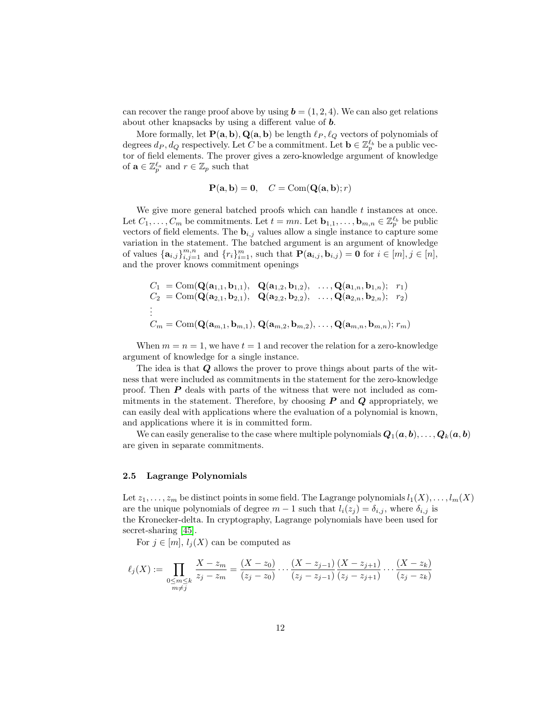can recover the range proof above by using  $\mathbf{b} = (1, 2, 4)$ . We can also get relations about other knapsacks by using a different value of b.

More formally, let  $P(a, b), Q(a, b)$  be length  $\ell_P, \ell_Q$  vectors of polynomials of degrees  $d_P, d_Q$  respectively. Let C be a commitment. Let  $\mathbf{b} \in \mathbb{Z}_p^{\ell_b}$  be a public vector of field elements. The prover gives a zero-knowledge argument of knowledge of  $\mathbf{a} \in \mathbb{Z}_p^{\ell_a}$  and  $r \in \mathbb{Z}_p$  such that

$$
\mathbf{P}(\mathbf{a}, \mathbf{b}) = \mathbf{0}, \quad C = \text{Com}(\mathbf{Q}(\mathbf{a}, \mathbf{b}); r)
$$

We give more general batched proofs which can handle  $t$  instances at once. Let  $C_1, \ldots, C_m$  be commitments. Let  $t = mn$ . Let  $\mathbf{b}_{1,1}, \ldots, \mathbf{b}_{m,n} \in \mathbb{Z}_p^{\ell_b}$  be public vectors of field elements. The  $\mathbf{b}_{i,j}$  values allow a single instance to capture some variation in the statement. The batched argument is an argument of knowledge of values  $\{\mathbf{a}_{i,j}\}_{i,j=1}^{m,n}$  and  $\{r_i\}_{i=1}^m$ , such that  $\mathbf{P}(\mathbf{a}_{i,j}, \mathbf{b}_{i,j}) = \mathbf{0}$  for  $i \in [m], j \in [n]$ , and the prover knows commitment openings

$$
C_1 = \text{Com}(\mathbf{Q}(\mathbf{a}_{1,1}, \mathbf{b}_{1,1}), \quad \mathbf{Q}(\mathbf{a}_{1,2}, \mathbf{b}_{1,2}), \quad \dots, \mathbf{Q}(\mathbf{a}_{1,n}, \mathbf{b}_{1,n}); \quad r_1)
$$
  
\n
$$
C_2 = \text{Com}(\mathbf{Q}(\mathbf{a}_{2,1}, \mathbf{b}_{2,1}), \quad \mathbf{Q}(\mathbf{a}_{2,2}, \mathbf{b}_{2,2}), \quad \dots, \mathbf{Q}(\mathbf{a}_{2,n}, \mathbf{b}_{2,n}); \quad r_2)
$$
  
\n
$$
\vdots
$$
  
\n
$$
C_m = \text{Com}(\mathbf{Q}(\mathbf{a}_{m,1}, \mathbf{b}_{m,1}), \mathbf{Q}(\mathbf{a}_{m,2}, \mathbf{b}_{m,2}), \dots, \mathbf{Q}(\mathbf{a}_{m,n}, \mathbf{b}_{m,n}); r_m)
$$

When  $m = n = 1$ , we have  $t = 1$  and recover the relation for a zero-knowledge argument of knowledge for a single instance.

The idea is that Q allows the prover to prove things about parts of the witness that were included as commitments in the statement for the zero-knowledge proof. Then  $P$  deals with parts of the witness that were not included as commitments in the statement. Therefore, by choosing  $P$  and  $Q$  appropriately, we can easily deal with applications where the evaluation of a polynomial is known, and applications where it is in committed form.

We can easily generalise to the case where multiple polynomials  $Q_1(a, b), \ldots, Q_k(a, b)$ are given in separate commitments.

## 2.5 Lagrange Polynomials

Let  $z_1, \ldots, z_m$  be distinct points in some field. The Lagrange polynomials  $l_1(X), \ldots, l_m(X)$ are the unique polynomials of degree  $m-1$  such that  $l_i(z_j) = \delta_{i,j}$ , where  $\delta_{i,j}$  is the Kronecker-delta. In cryptography, Lagrange polynomials have been used for secret-sharing [\[45\]](#page-27-15).

For  $j \in [m], l_i(X)$  can be computed as

$$
\ell_j(X) := \prod_{\substack{0 \le m \le k \\ m \ne j}} \frac{X - z_m}{z_j - z_m} = \frac{(X - z_0)}{(z_j - z_0)} \cdots \frac{(X - z_{j-1})}{(z_j - z_{j-1})} \frac{(X - z_{j+1})}{(z_j - z_{j+1})} \cdots \frac{(X - z_k)}{(z_j - z_k)}
$$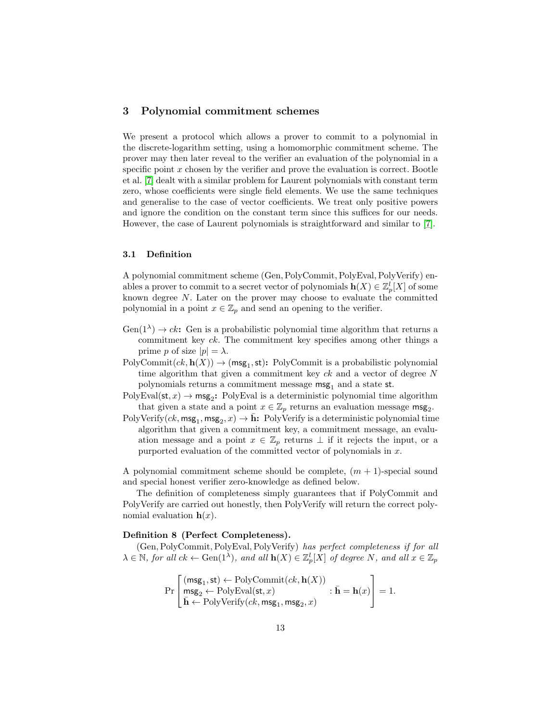# <span id="page-12-0"></span>3 Polynomial commitment schemes

We present a protocol which allows a prover to commit to a polynomial in the discrete-logarithm setting, using a homomorphic commitment scheme. The prover may then later reveal to the verifier an evaluation of the polynomial in a specific point  $x$  chosen by the verifier and prove the evaluation is correct. Bootle et al. [\[7\]](#page-25-0) dealt with a similar problem for Laurent polynomials with constant term zero, whose coefficients were single field elements. We use the same techniques and generalise to the case of vector coefficients. We treat only positive powers and ignore the condition on the constant term since this suffices for our needs. However, the case of Laurent polynomials is straightforward and similar to [\[7\]](#page-25-0).

## 3.1 Definition

A polynomial commitment scheme (Gen,PolyCommit,PolyEval,PolyVerify) enables a prover to commit to a secret vector of polynomials  $\mathbf{h}(X) \in \mathbb{Z}_p^l[X]$  of some known degree N. Later on the prover may choose to evaluate the committed polynomial in a point  $x \in \mathbb{Z}_p$  and send an opening to the verifier.

- $Gen(1^{\lambda}) \rightarrow ck$ : Gen is a probabilistic polynomial time algorithm that returns a commitment key ck. The commitment key specifies among other things a prime p of size  $|p| = \lambda$ .
- $PolyCommit(ck, h(X)) \rightarrow (msg_1, st): PolyCommit is a probabilistic polynomial$ time algorithm that given a commitment key  $ck$  and a vector of degree  $N$ polynomials returns a commitment message  $\text{msg}_1$  and a state st.
- $PolyEval(st, x) \rightarrow msg_2$ : PolyEval is a deterministic polynomial time algorithm that given a state and a point  $x \in \mathbb{Z}_p$  returns an evaluation message msg<sub>2</sub>.
- PolyVerify $(ck, msg_1, msg_2, x) \rightarrow \bar{h}$ : PolyVerify is a deterministic polynomial time algorithm that given a commitment key, a commitment message, an evaluation message and a point  $x \in \mathbb{Z}_p$  returns  $\perp$  if it rejects the input, or a purported evaluation of the committed vector of polynomials in x.

A polynomial commitment scheme should be complete,  $(m + 1)$ -special sound and special honest verifier zero-knowledge as defined below.

The definition of completeness simply guarantees that if PolyCommit and PolyVerify are carried out honestly, then PolyVerify will return the correct polynomial evaluation  $h(x)$ .

#### Definition 8 (Perfect Completeness).

(Gen,PolyCommit,PolyEval,PolyVerify) has perfect completeness if for all  $\lambda \in \mathbb{N}$ , for all  $ck \leftarrow \text{Gen}(1^{\lambda})$ , and all  $\mathbf{h}(X) \in \mathbb{Z}_p^l[X]$  of degree N, and all  $x \in \mathbb{Z}_p$ 

$$
\Pr\left[\begin{matrix}(\mathsf{msg}_1,\mathsf{st}) \leftarrow \mathrm{PolyCommit}(ck,\mathbf{h}(X))\\ \mathsf{msg}_2 \leftarrow \mathrm{PolyEval}(\mathsf{st},x)\\ \bar{\mathbf{h}} \leftarrow \mathrm{PolyVerify}(ck,\mathsf{msg}_1,\mathsf{msg}_2,x)\end{matrix}\right]: \bar{\mathbf{h}} = \mathbf{h}(x)\right] = 1.
$$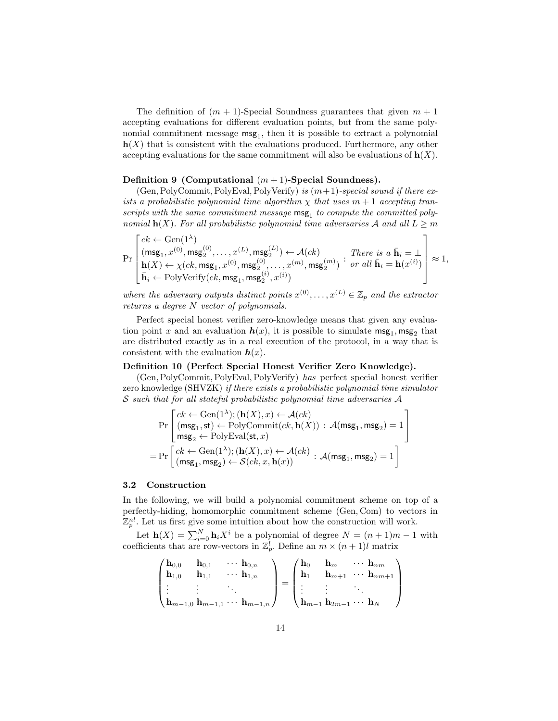The definition of  $(m + 1)$ -Special Soundness guarantees that given  $m + 1$ accepting evaluations for different evaluation points, but from the same polynomial commitment message  $msg_1$ , then it is possible to extract a polynomial  $h(X)$  that is consistent with the evaluations produced. Furthermore, any other accepting evaluations for the same commitment will also be evaluations of  $h(X)$ .

#### Definition 9 (Computational  $(m+1)$ -Special Soundness).

(Gen, PolyCommit, PolyEval, PolyVerify) is  $(m+1)$ -special sound if there exists a probabilistic polynomial time algorithm  $\chi$  that uses  $m + 1$  accepting transcripts with the same commitment message  $\text{msg}_1$  to compute the committed polynomial  $h(X)$ . For all probabilistic polynomial time adversaries A and all  $L \geq m$ 

$$
\Pr\left[\begin{matrix} ck \leftarrow \operatorname{Gen}(1^\lambda)\\ (\mathsf{msg}_1, x^{(0)}, \mathsf{msg}_2^{(0)}, \ldots, x^{(L)}, \mathsf{msg}_2^{(L)}) \leftarrow \mathcal{A}(ck)\\ \mathbf{h}(X) \leftarrow \chi(ck, \mathsf{msg}_1, x^{(0)}, \mathsf{msg}_2^{(0)}, \ldots, x^{(m)}, \mathsf{msg}_2^{(m)}) \end{matrix} \right] \begin{matrix} \text{There is a } \bar{\mathbf{h}}_i = \bot\\ \text{or all } \bar{\mathbf{h}}_i = \mathbf{h}(x^{(i)})\\ \bar{\mathbf{h}}_i \leftarrow \text{PolyVerify}(ck, \mathsf{msg}_1, \mathsf{msg}_2^{(i)}, x^{(i)}) \end{matrix} \right] \approx 1,
$$

where the adversary outputs distinct points  $x^{(0)}, \ldots, x^{(L)} \in \mathbb{Z}_p$  and the extractor returns a degree N vector of polynomials.

Perfect special honest verifier zero-knowledge means that given any evaluation point x and an evaluation  $h(x)$ , it is possible to simulate  $\mathsf{msg}_1, \mathsf{msg}_2$  that are distributed exactly as in a real execution of the protocol, in a way that is consistent with the evaluation  $h(x)$ .

#### Definition 10 (Perfect Special Honest Verifier Zero Knowledge).

(Gen,PolyCommit,PolyEval,PolyVerify) has perfect special honest verifier zero knowledge (SHVZK) if there exists a probabilistic polynomial time simulator S such that for all stateful probabilistic polynomial time adversaries A

$$
\Pr\left[\begin{matrix} ck \leftarrow Gen(1^{\lambda}); (\mathbf{h}(X), x) \leftarrow \mathcal{A}(ck) \\ (\mathsf{msg}_1, \mathsf{st}) \leftarrow \text{PolyCommit}(ck, \mathbf{h}(X)) : \mathcal{A}(\mathsf{msg}_1, \mathsf{msg}_2) = 1 \\ \mathsf{msg}_2 \leftarrow \text{PolyEval}(\mathsf{st}, x) \\ = \Pr\left[\begin{matrix} ck \leftarrow Gen(1^{\lambda}); (\mathbf{h}(X), x) \leftarrow \mathcal{A}(ck) \\ (\mathsf{msg}_1, \mathsf{msg}_2) \leftarrow \mathcal{S}(ck, x, \mathbf{h}(x)) \end{matrix}\right] : \mathcal{A}(\mathsf{msg}_1, \mathsf{msg}_2) = 1\right] \end{matrix}\right]
$$

#### 3.2 Construction

In the following, we will build a polynomial commitment scheme on top of a perfectly-hiding, homomorphic commitment scheme (Gen, Com) to vectors in  $\mathbb{Z}_p^{nl}$ . Let us first give some intuition about how the construction will work.

Let  $\mathbf{h}(X) = \sum_{i=0}^{N} \mathbf{h}_i X^i$  be a polynomial of degree  $N = (n+1)m - 1$  with coefficients that are row-vectors in  $\mathbb{Z}_p^l$ . Define an  $m \times (n+1)l$  matrix

$$
\begin{pmatrix}\n\mathbf{h}_{0,0} & \mathbf{h}_{0,1} & \cdots & \mathbf{h}_{0,n} \\
\mathbf{h}_{1,0} & \mathbf{h}_{1,1} & \cdots & \mathbf{h}_{1,n} \\
\vdots & \vdots & \ddots & \vdots \\
\mathbf{h}_{m-1,0} & \mathbf{h}_{m-1,1} & \cdots & \mathbf{h}_{m-1,n}\n\end{pmatrix} = \begin{pmatrix}\n\mathbf{h}_0 & \mathbf{h}_m & \cdots & \mathbf{h}_{nm} \\
\mathbf{h}_1 & \mathbf{h}_m & \cdots & \mathbf{h}_{nm+1} \\
\vdots & \vdots & \ddots & \vdots \\
\mathbf{h}_{m-1} & \mathbf{h}_{2m-1} & \cdots & \mathbf{h}_N\n\end{pmatrix}
$$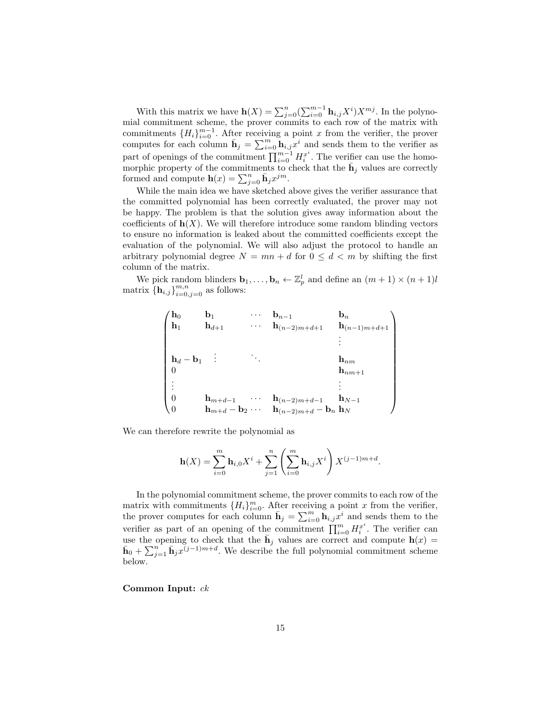With this matrix we have  $\mathbf{h}(X) = \sum_{j=0}^{n} (\sum_{i=0}^{m-1} \mathbf{h}_{i,j} X^{i}) X^{mj}$ . In the polynomial commitment scheme, the prover commits to each row of the matrix with commitments  ${H_i}_{i=0}^{m-1}$ . After receiving a point x from the verifier, the prover computes for each column  $\bar{\mathbf{h}}_j = \sum_{i=0}^m \mathbf{h}_{i,j} x^i$  and sends them to the verifier as part of openings of the commitment  $\prod_{i=0}^{m-1} H_i^{x^i}$ . The verifier can use the homomorphic property of the commitments to check that the  $\bar{\mathbf{h}}_j$  values are correctly formed and compute  $\mathbf{h}(x) = \sum_{j=0}^{n} \bar{\mathbf{h}}_j x^{jm}$ .

While the main idea we have sketched above gives the verifier assurance that the committed polynomial has been correctly evaluated, the prover may not be happy. The problem is that the solution gives away information about the coefficients of  $h(X)$ . We will therefore introduce some random blinding vectors to ensure no information is leaked about the committed coefficients except the evaluation of the polynomial. We will also adjust the protocol to handle an arbitrary polynomial degree  $N = mn + d$  for  $0 \leq d \leq m$  by shifting the first column of the matrix.

We pick random blinders  $\mathbf{b}_1, \ldots, \mathbf{b}_n \leftarrow \mathbb{Z}_p^l$  and define an  $(m+1) \times (n+1)l$ matrix  $\{\mathbf h_{i,j}\}_{i=0,j=0}^{m,n}$  as follows:

$$
\begin{pmatrix}\n\mathbf{h}_0 & \mathbf{b}_1 & \cdots & \mathbf{b}_{n-1} & \mathbf{b}_n \\
\mathbf{h}_1 & \mathbf{h}_{d+1} & \cdots & \mathbf{h}_{(n-2)m+d+1} & \mathbf{h}_{(n-1)m+d+1} \\
& & & \vdots \\
\mathbf{h}_d - \mathbf{b}_1 & \vdots & \ddots & \mathbf{h}_{nm} \\
0 & & & & \mathbf{h}_{nm+1} \\
\vdots & & & \vdots \\
0 & \mathbf{h}_{m+d-1} & \cdots & \mathbf{h}_{(n-2)m+d-1} & \mathbf{h}_{N-1} \\
0 & & & & \mathbf{h}_{m+d} - \mathbf{b}_2 & \cdots & \mathbf{h}_{(n-2)m+d} - \mathbf{b}_n & \mathbf{h}_N\n\end{pmatrix}
$$

We can therefore rewrite the polynomial as

$$
\mathbf{h}(X) = \sum_{i=0}^{m} \mathbf{h}_{i,0} X^{i} + \sum_{j=1}^{n} \left( \sum_{i=0}^{m} \mathbf{h}_{i,j} X^{i} \right) X^{(j-1)m+d}.
$$

In the polynomial commitment scheme, the prover commits to each row of the matrix with commitments  $\{H_i\}_{i=0}^m$ . After receiving a point x from the verifier, the prover computes for each column  $\bar{\mathbf{h}}_j = \sum_{i=0}^m \tilde{\mathbf{h}}_{i,j} x^i$  and sends them to the verifier as part of an opening of the commitment  $\prod_{i=0}^m H_i^{x^i}$ . The verifier can use the opening to check that the  $\bar{\mathbf{h}}_j$  values are correct and compute  $\mathbf{h}(x)$  =  $\bar{\mathbf{h}}_0 + \sum_{j=1}^n \bar{\mathbf{h}}_j x^{(j-1)m+d}$ . We describe the full polynomial commitment scheme below.

Common Input: ck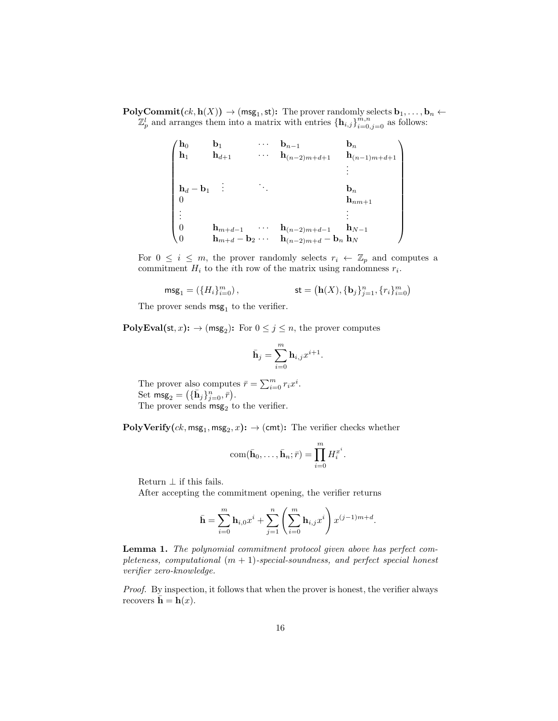$\text{PolyCommit}(ck, \text{h}(X)) \to (\text{msg}_1, \text{st})$ : The prover randomly selects  $\textbf{b}_1, \ldots, \textbf{b}_n \leftarrow$  $\mathbb{Z}_p^l$  and arranges them into a matrix with entries  $\{\mathbf{h}_{i,j}\}_{i=0,j=0}^{m,n}$  as follows:

$$
\begin{pmatrix}\n\mathbf{h}_0 & \mathbf{b}_1 & \cdots & \mathbf{b}_{n-1} & \mathbf{b}_n \\
\mathbf{h}_1 & \mathbf{h}_{d+1} & \cdots & \mathbf{h}_{(n-2)m+d+1} & \mathbf{h}_{(n-1)m+d+1} \\
\vdots & \ddots & \vdots & \vdots \\
\mathbf{h}_d - \mathbf{b}_1 & \vdots & \ddots & \mathbf{b}_n \\
0 & \mathbf{h}_{nm+1} & \vdots & \vdots \\
\vdots & \mathbf{h}_{m+d-1} & \cdots & \mathbf{h}_{(n-2)m+d-1} & \mathbf{h}_{N-1} \\
0 & \mathbf{h}_{m+d} - \mathbf{b}_2 & \cdots & \mathbf{h}_{(n-2)m+d} - \mathbf{b}_n & \mathbf{h}_N\n\end{pmatrix}
$$

For  $0 \leq i \leq m$ , the prover randomly selects  $r_i \leftarrow \mathbb{Z}_p$  and computes a commitment  $H_i$  to the *i*th row of the matrix using randomness  $r_i$ .

$$
\text{msg}_1 = \left(\{H_i\}_{i=0}^m\right), \hspace{2cm} \text{st} = \left(\textbf{h}(X), \{\textbf{b}_j\}_{j=1}^n, \{r_i\}_{i=0}^m\right)
$$

The prover sends  $\mathsf{msg}_1$  to the verifier.

 $\text{PolyEval}(\text{st}, x) \colon \to (\text{msg}_2) \colon \text{For } 0 \leq j \leq n, \text{ the prover computes }$ 

$$
\bar{\mathbf{h}}_j = \sum_{i=0}^m \mathbf{h}_{i,j} x^{i+1}.
$$

The prover also computes  $\bar{r} = \sum_{i=0}^{m} r_i x^i$ . Set  $\text{msg}_2 = (\{\bar{\mathbf{h}}_j\}_{j=0}^n, \bar{r})$ . The prover sends  $\mathsf{msg}_2$  to the verifier.

 ${\bf PolyVerify}(ck,\textsf{msg}_1,\textsf{msg}_2,x)\colon\to(\textsf{cmt})\colon$  The verifier checks whether

$$
\text{com}(\bar{\mathbf{h}}_0,\ldots,\bar{\mathbf{h}}_n;\bar{r})=\prod_{i=0}^m H_i^{x^i}.
$$

Return  $\perp$  if this fails.

After accepting the commitment opening, the verifier returns

$$
\bar{\mathbf{h}} = \sum_{i=0}^{m} \mathbf{h}_{i,0} x^{i} + \sum_{j=1}^{n} \left( \sum_{i=0}^{m} \mathbf{h}_{i,j} x^{i} \right) x^{(j-1)m+d}.
$$

Lemma 1. The polynomial commitment protocol given above has perfect completeness, computational  $(m + 1)$ -special-soundness, and perfect special honest verifier zero-knowledge.

Proof. By inspection, it follows that when the prover is honest, the verifier always recovers  $\bar{\mathbf{h}} = \mathbf{h}(x)$ .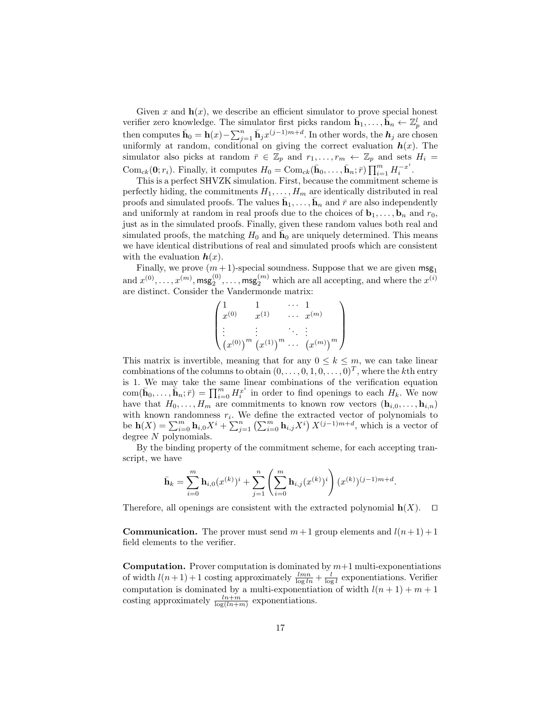Given x and  $h(x)$ , we describe an efficient simulator to prove special honest verifier zero knowledge. The simulator first picks random  $\bar{\mathbf{h}}_1, \ldots, \bar{\mathbf{h}}_n \leftarrow \mathbb{Z}_p^l$  and then computes  $\bar{\mathbf{h}}_0 = \mathbf{h}(x) - \sum_{j=1}^n \bar{\mathbf{h}}_j x^{(j-1)m+d}$ . In other words, the  $h_j$  are chosen uniformly at random, conditional on giving the correct evaluation  $h(x)$ . The simulator also picks at random  $\bar{r} \in \mathbb{Z}_p$  and  $r_1, \ldots, r_m \leftarrow \mathbb{Z}_p$  and sets  $H_i =$ Com<sub>ck</sub>(**0**;  $r_i$ ). Finally, it computes  $H_0 = \text{Com}_{ck}(\bar{\mathbf{h}}_0, \ldots, \bar{\mathbf{h}}_n; \bar{r}) \prod_{i=1}^m H_i^{-x^i}$  $\frac{-x}{i}$ .

This is a perfect SHVZK simulation. First, because the commitment scheme is perfectly hiding, the commitments  $H_1, \ldots, H_m$  are identically distributed in real proofs and simulated proofs. The values  $\bar{\mathbf{h}}_1, \ldots, \bar{\mathbf{h}}_n$  and  $\bar{r}$  are also independently and uniformly at random in real proofs due to the choices of  $\mathbf{b}_1, \ldots, \mathbf{b}_n$  and  $r_0$ , just as in the simulated proofs. Finally, given these random values both real and simulated proofs, the matching  $H_0$  and  $\bar{h}_0$  are uniquely determined. This means we have identical distributions of real and simulated proofs which are consistent with the evaluation  $h(x)$ .

Finally, we prove  $(m + 1)$ -special soundness. Suppose that we are given  $\text{msg}_1$ and  $x^{(0)}, \ldots, x^{(m)}$ ,  $\mathsf{msg}_2^{(0)}, \ldots, \mathsf{msg}_2^{(m)}$  which are all accepting, and where the  $x^{(i)}$ are distinct. Consider the Vandermonde matrix:

$$
\begin{pmatrix} 1 & 1 & \cdots & 1 \\ x^{(0)} & x^{(1)} & \cdots & x^{(m)} \\ \vdots & \vdots & \ddots & \vdots \\ (x^{(0)})^m & (x^{(1)})^m & \cdots & (x^{(m)})^m \end{pmatrix}
$$

This matrix is invertible, meaning that for any  $0 \leq k \leq m$ , we can take linear combinations of the columns to obtain  $(0,\ldots,0,1,0,\ldots,0)^T$ , where the kth entry is 1. We may take the same linear combinations of the verification equation  $com(\bar{\mathbf{h}}_0,\ldots,\bar{\mathbf{h}}_n;\bar{r}) = \prod_{i=0}^m H_i^{x^i}$  in order to find openings to each  $H_k$ . We now have that  $H_0, \ldots, H_m$  are commitments to known row vectors  $(\mathbf{h}_{i,0}, \ldots, \mathbf{h}_{i,n})$ with known randomness  $r_i$ . We define the extracted vector of polynomials to be  $h(X) = \sum_{i=0}^{m} h_{i,0} X^{i} + \sum_{j=1}^{n} (\sum_{i=0}^{m} h_{i,j} X^{i}) X^{(j-1)m+d}$ , which is a vector of degree N polynomials.

By the binding property of the commitment scheme, for each accepting transcript, we have

$$
\bar{\mathbf{h}}_k = \sum_{i=0}^m \mathbf{h}_{i,0}(x^{(k)})^i + \sum_{j=1}^n \left( \sum_{i=0}^m \mathbf{h}_{i,j}(x^{(k)})^i \right) (x^{(k)})^{(j-1)m+d}.
$$

Therefore, all openings are consistent with the extracted polynomial  $h(X)$ .  $\Box$ 

**Communication.** The prover must send  $m+1$  group elements and  $l(n+1)+1$ field elements to the verifier.

**Computation.** Prover computation is dominated by  $m+1$  multi-exponentiations of width  $l(n+1)+1$  costing approximately  $\frac{lmn}{\log ln} + \frac{l}{\log l}$  exponentiations. Verifier computation is dominated by a multi-exponentiation of width  $l(n + 1) + m + 1$ costing approximately  $\frac{ln+m}{log(ln+m)}$  exponentiations.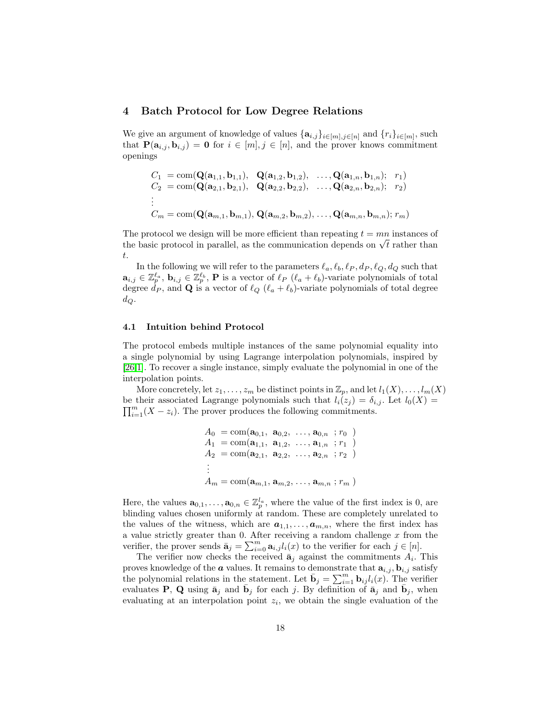## <span id="page-17-0"></span>4 Batch Protocol for Low Degree Relations

We give an argument of knowledge of values  $\{a_{i,j}\}_{i\in[m],j\in[n]}$  and  $\{r_i\}_{i\in[m]}$ , such that  $P(\mathbf{a}_{i,j}, \mathbf{b}_{i,j}) = \mathbf{0}$  for  $i \in [m], j \in [n]$ , and the prover knows commitment openings

$$
C_1 = \text{com}(\mathbf{Q}(\mathbf{a}_{1,1}, \mathbf{b}_{1,1}), \quad \mathbf{Q}(\mathbf{a}_{1,2}, \mathbf{b}_{1,2}), \quad \dots, \mathbf{Q}(\mathbf{a}_{1,n}, \mathbf{b}_{1,n}); \quad r_1) C_2 = \text{com}(\mathbf{Q}(\mathbf{a}_{2,1}, \mathbf{b}_{2,1}), \quad \mathbf{Q}(\mathbf{a}_{2,2}, \mathbf{b}_{2,2}), \quad \dots, \mathbf{Q}(\mathbf{a}_{2,n}, \mathbf{b}_{2,n}); \quad r_2) \n\vdots C_m = \text{com}(\mathbf{Q}(\mathbf{a}_{m,1}, \mathbf{b}_{m,1}), \mathbf{Q}(\mathbf{a}_{m,2}, \mathbf{b}_{m,2}), \dots, \mathbf{Q}(\mathbf{a}_{m,n}, \mathbf{b}_{m,n}); \quad r_m)
$$

The protocol we design will be more efficient than repeating  $t = mn$  instances of The protocol we design will be more emicient than repeating  $t = mn$  instances on the basic protocol in parallel, as the communication depends on  $\sqrt{t}$  rather than t.

In the following we will refer to the parameters  $\ell_a, \ell_b, \ell_P, d_P, \ell_Q, d_Q$  such that  $\mathbf{a}_{i,j} \in \mathbb{Z}_p^{\ell_a}$ ,  $\mathbf{b}_{i,j} \in \mathbb{Z}_p^{\ell_b}$ , **P** is a vector of  $\ell_p$  ( $\ell_a + \ell_b$ )-variate polynomials of total degree  $\dot{d}_P$ , and **Q** is a vector of  $\ell_Q$  ( $\ell_a + \ell_b$ )-variate polynomials of total degree  $d_Q$ .

#### 4.1 Intuition behind Protocol

The protocol embeds multiple instances of the same polynomial equality into a single polynomial by using Lagrange interpolation polynomials, inspired by [\[26](#page-26-2)[,1\]](#page-25-3). To recover a single instance, simply evaluate the polynomial in one of the interpolation points.

More concretely, let  $z_1, \ldots, z_m$  be distinct points in  $\mathbb{Z}_p$ , and let  $l_1(X), \ldots, l_m(X)$ be their associated Lagrange polynomials such that  $l_i(z_j) = \delta_{i,j}$ . Let  $l_0(X) =$  $\prod_{i=1}^{m}(X-z_i)$ . The prover produces the following commitments.

$$
A_0 = \text{com}(\mathbf{a}_{0,1}, \ \mathbf{a}_{0,2}, \ \ldots, \mathbf{a}_{0,n} \ ; r_0 )
$$
  
\n
$$
A_1 = \text{com}(\mathbf{a}_{1,1}, \ \mathbf{a}_{1,2}, \ \ldots, \mathbf{a}_{1,n} \ ; r_1 )
$$
  
\n
$$
A_2 = \text{com}(\mathbf{a}_{2,1}, \ \mathbf{a}_{2,2}, \ \ldots, \mathbf{a}_{2,n} \ ; r_2 )
$$
  
\n
$$
\vdots
$$
  
\n
$$
A_m = \text{com}(\mathbf{a}_{m,1}, \mathbf{a}_{m,2}, \ \ldots, \mathbf{a}_{m,n} \ ; r_m )
$$

Here, the values  $\mathbf{a}_{0,1},\ldots,\mathbf{a}_{0,n} \in \mathbb{Z}_p^{l_a}$ , where the value of the first index is 0, are blinding values chosen uniformly at random. These are completely unrelated to the values of the witness, which are  $a_{1,1}, \ldots, a_{m,n}$ , where the first index has a value strictly greater than 0. After receiving a random challenge  $x$  from the verifier, the prover sends  $\bar{\mathbf{a}}_j = \sum_{i=0}^m \mathbf{a}_{i,j} l_i(x)$  to the verifier for each  $j \in [n]$ .

The verifier now checks the received  $\bar{\mathbf{a}}_j$  against the commitments  $A_i$ . This proves knowledge of the  $\boldsymbol{a}$  values. It remains to demonstrate that  $\mathbf{a}_{i,j}$ ,  $\mathbf{b}_{i,j}$  satisfy the polynomial relations in the statement. Let  $\bar{\mathbf{b}}_j = \sum_{i=1}^m \mathbf{b}_{ij} l_i(x)$ . The verifier evaluates **P**, **Q** using  $\bar{a}_j$  and  $\bar{b}_j$  for each j. By definition of  $\bar{a}_j$  and  $\bar{b}_j$ , when evaluating at an interpolation point  $z_i$ , we obtain the single evaluation of the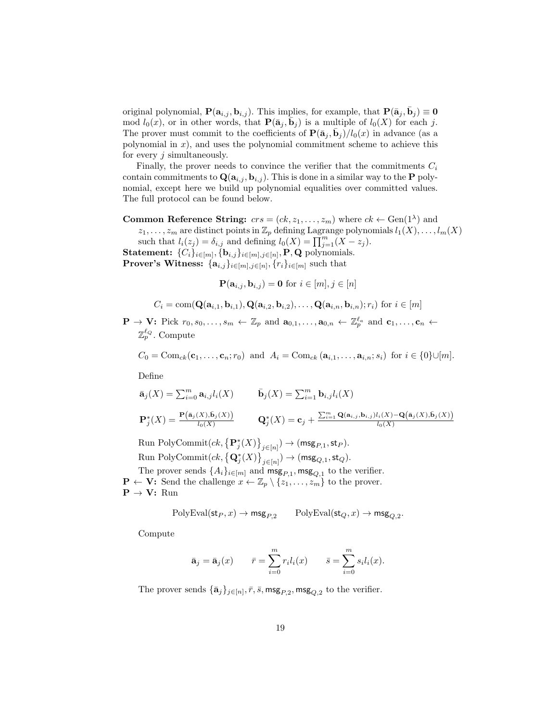original polynomial,  $P(\mathbf{a}_{i,j}, \mathbf{b}_{i,j})$ . This implies, for example, that  $P(\bar{\mathbf{a}}_j, \bar{\mathbf{b}}_j) \equiv \mathbf{0}$ mod  $l_0(x)$ , or in other words, that  $\mathbf{P}(\bar{\mathbf{a}}_j, \bar{\mathbf{b}}_j)$  is a multiple of  $l_0(X)$  for each j. The prover must commit to the coefficients of  $\mathbf{P}(\bar{\mathbf{a}}_j, \bar{\mathbf{b}}_j)/l_0(x)$  in advance (as a polynomial in  $x$ ), and uses the polynomial commitment scheme to achieve this for every  $j$  simultaneously.

Finally, the prover needs to convince the verifier that the commitments  $C_i$ contain commitments to  $\mathbf{Q}(\mathbf{a}_{i,j}, \mathbf{b}_{i,j})$ . This is done in a similar way to the **P** polynomial, except here we build up polynomial equalities over committed values. The full protocol can be found below.

**Common Reference String:**  $crs = (ck, z_1, \ldots, z_m)$  where  $ck \leftarrow \text{Gen}(1^{\lambda})$  and  $z_1, \ldots, z_m$  are distinct points in  $\mathbb{Z}_p$  defining Lagrange polynomials  $l_1(X), \ldots, l_m(X)$ 

such that  $l_i(z_j) = \delta_{i,j}$  and defining  $l_0(X) = \prod_{j=1}^m (X - z_j)$ .

Statement:  ${C_i}_{i \in [m]}, {\mathbf{b}_{i,j}}_{i \in [m], j \in [n]}, P, Q$  polynomials.

**Prover's Witness:**  $\{a_{i,j}\}_{i \in [m], j \in [n]}, \{r_i\}_{i \in [m]}$  such that

 $\mathbf{P}(\mathbf{a}_{i,j}, \mathbf{b}_{i,j}) = \mathbf{0}$  for  $i \in [m], j \in [n]$ 

$$
C_i = \text{com}(\mathbf{Q}(\mathbf{a}_{i,1}, \mathbf{b}_{i,1}), \mathbf{Q}(\mathbf{a}_{i,2}, \mathbf{b}_{i,2}), \dots, \mathbf{Q}(\mathbf{a}_{i,n}, \mathbf{b}_{i,n}); r_i) \text{ for } i \in [m]
$$

 $\mathbf{P} \to \mathbf{V}$ : Pick  $r_0, s_0, \ldots, s_m \leftarrow \mathbb{Z}_p$  and  $\mathbf{a}_{0,1}, \ldots, \mathbf{a}_{0,n} \leftarrow \mathbb{Z}_p^{\ell_a}$  and  $\mathbf{c}_1, \ldots, \mathbf{c}_n \leftarrow$  $\mathbb{Z}_p^{\ell_Q}$ . Compute

$$
C_0 = \text{Com}_{ck}(\mathbf{c}_1, \dots, \mathbf{c}_n; r_0) \text{ and } A_i = \text{Com}_{ck}(\mathbf{a}_{i,1}, \dots, \mathbf{a}_{i,n}; s_i) \text{ for } i \in \{0\} \cup [m].
$$

Define

$$
\bar{\mathbf{a}}_j(X) = \sum_{i=0}^m \mathbf{a}_{i,j} l_i(X) \qquad \bar{\mathbf{b}}_j(X) = \sum_{i=1}^m \mathbf{b}_{i,j} l_i(X)
$$
\n
$$
\mathbf{P}_j^*(X) = \frac{\mathbf{P}(\bar{\mathbf{a}}_j(X), \bar{\mathbf{b}}_j(X))}{l_0(X)} \qquad \mathbf{Q}_j^*(X) = \mathbf{c}_j + \frac{\sum_{i=1}^m \mathbf{Q}(\mathbf{a}_{i,j}, \mathbf{b}_{i,j}) l_i(X) - \mathbf{Q}(\bar{\mathbf{a}}_j(X), \bar{\mathbf{b}}_j(X))}{l_0(X)}
$$

Run PolyCommit $(ck, {\{P_j^*(X)\}}_{j \in [n]}) \to (\mathsf{msg}_{P,1}, \mathsf{st}_P).$ Run PolyCommit $(ck, {\{\mathbf Q}_j^*(X)\}}_{j\in[n]}) \to (\mathsf{msg}_{Q,1},\mathsf{st}_Q).$ 

The prover sends  $\{A_i\}_{i \in [m]}$  and  $\mathsf{msg}_{P,1}$ ,  $\mathsf{msg}_{Q,1}$  to the verifier.  $\mathbf{P} \leftarrow \mathbf{V}$ : Send the challenge  $x \leftarrow \mathbb{Z}_p \setminus \{z_1, \ldots, z_m\}$  to the prover.  $P \rightarrow V:$  Run

$$
\mathrm{PolyEval}(\mathrm{st}_P,x)\to \mathrm{msg}_{P,2}\qquad \mathrm{PolyEval}(\mathrm{st}_Q,x)\to \mathrm{msg}_{Q,2}.
$$

Compute

$$
\bar{\mathbf{a}}_j = \bar{\mathbf{a}}_j(x) \qquad \bar{r} = \sum_{i=0}^m r_i l_i(x) \qquad \bar{s} = \sum_{i=0}^m s_i l_i(x).
$$

The prover sends  $\{\bar{\mathbf{a}}_j\}_{j\in[n]}, \bar{r}, \bar{s}$ ,  $\text{msg}_{P,2}$ ,  $\text{msg}_{Q,2}$  to the verifier.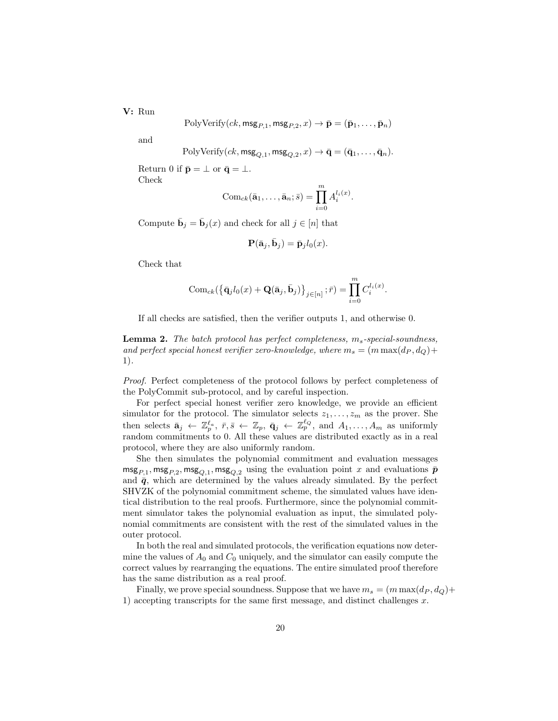V: Run

PolyVerify(
$$
ck
$$
,  $msg_{P,1}$ ,  $msg_{P,2}$ ,  $x$ )  $\rightarrow \bar{p} = (\bar{p}_1, ..., \bar{p}_n)$ 

and

$$
PolyVerify(ck, msg_{Q,1}, msg_{Q,2}, x) \rightarrow \bar{\mathbf{q}} = (\bar{\mathbf{q}}_1, \dots, \bar{\mathbf{q}}_n).
$$

Return 0 if  $\bar{\mathbf{p}} = \perp$  or  $\bar{\mathbf{q}} = \perp$ . Check

$$
Com_{ck}(\bar{\mathbf{a}}_1,\ldots,\bar{\mathbf{a}}_n;\bar{s})=\prod_{i=0}^m A_i^{l_i(x)}.
$$

Compute  $\bar{\mathbf{b}}_j = \bar{\mathbf{b}}_j(x)$  and check for all  $j \in [n]$  that

$$
\mathbf{P}(\bar{\mathbf{a}}_j, \bar{\mathbf{b}}_j) = \bar{\mathbf{p}}_j l_0(x).
$$

Check that

$$
Com_{ck}(\{\bar{\mathbf{q}}_jl_0(x) + \mathbf{Q}(\bar{\mathbf{a}}_j, \bar{\mathbf{b}}_j)\}_{j \in [n]}; \bar{r}) = \prod_{i=0}^m C_i^{l_i(x)}.
$$

If all checks are satisfied, then the verifier outputs 1, and otherwise 0.

**Lemma 2.** The batch protocol has perfect completeness,  $m_s$ -special-soundness, and perfect special honest verifier zero-knowledge, where  $m_s = (m \max(d_P, d_Q) +$ 1).

Proof. Perfect completeness of the protocol follows by perfect completeness of the PolyCommit sub-protocol, and by careful inspection.

For perfect special honest verifier zero knowledge, we provide an efficient simulator for the protocol. The simulator selects  $z_1, \ldots, z_m$  as the prover. She then selects  $\bar{\mathbf{a}}_j \leftarrow \mathbb{Z}_p^{\ell_a}, \bar{r}, \bar{s} \leftarrow \mathbb{Z}_p, \bar{\mathbf{q}}_j \leftarrow \mathbb{Z}_p^{\ell_q}, \text{ and } A_1, \ldots, A_m \text{ as uniformly}$ random commitments to 0. All these values are distributed exactly as in a real protocol, where they are also uniformly random.

She then simulates the polynomial commitment and evaluation messages  $\textsf{msg}_{P,1}, \textsf{msg}_{P,2}, \textsf{msg}_{Q,1}, \textsf{msg}_{Q,2}$  using the evaluation point x and evaluations  $\bar{p}$ and  $\bar{q}$ , which are determined by the values already simulated. By the perfect SHVZK of the polynomial commitment scheme, the simulated values have identical distribution to the real proofs. Furthermore, since the polynomial commitment simulator takes the polynomial evaluation as input, the simulated polynomial commitments are consistent with the rest of the simulated values in the outer protocol.

In both the real and simulated protocols, the verification equations now determine the values of  $A_0$  and  $C_0$  uniquely, and the simulator can easily compute the correct values by rearranging the equations. The entire simulated proof therefore has the same distribution as a real proof.

Finally, we prove special soundness. Suppose that we have  $m_s = (m \max(d_P, d_Q)+$ 1) accepting transcripts for the same first message, and distinct challenges  $x$ .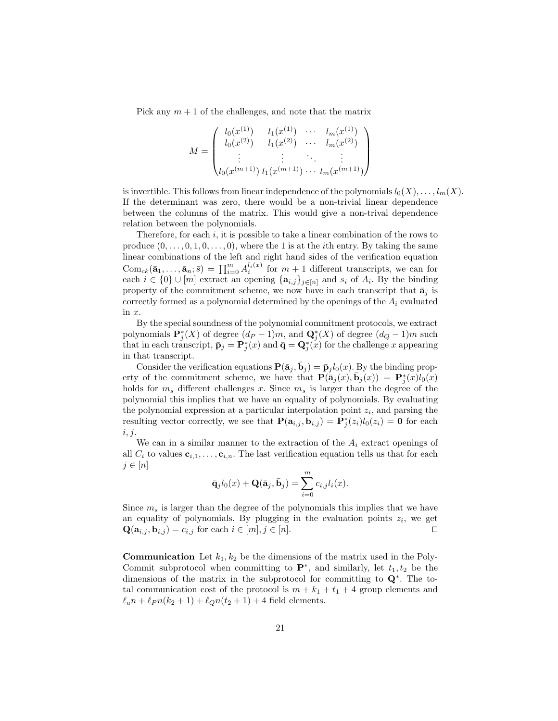Pick any  $m + 1$  of the challenges, and note that the matrix

$$
M = \begin{pmatrix} l_0(x^{(1)}) & l_1(x^{(1)}) & \cdots & l_m(x^{(1)}) \\ l_0(x^{(2)}) & l_1(x^{(2)}) & \cdots & l_m(x^{(2)}) \\ \vdots & \vdots & \ddots & \vdots \\ l_0(x^{(m+1)}) & l_1(x^{(m+1)}) & \cdots & l_m(x^{(m+1)}) \end{pmatrix}
$$

is invertible. This follows from linear independence of the polynomials  $l_0(X), \ldots, l_m(X)$ . If the determinant was zero, there would be a non-trivial linear dependence between the columns of the matrix. This would give a non-trival dependence relation between the polynomials.

Therefore, for each  $i$ , it is possible to take a linear combination of the rows to produce  $(0, \ldots, 0, 1, 0, \ldots, 0)$ , where the 1 is at the *i*th entry. By taking the same linear combinations of the left and right hand sides of the verification equation  $\text{Com}_{ck}(\bar{\mathbf{a}}_1,\ldots,\bar{\mathbf{a}}_n;\bar{s}) = \prod_{i=0}^m A_i^{l_i(x)}$  for  $m+1$  different transcripts, we can for each  $i \in \{0\} \cup [m]$  extract an opening  $\{a_{i,j}\}_{j \in [n]}$  and  $s_i$  of  $A_i$ . By the binding property of the commitment scheme, we now have in each transcript that  $\bar{a}_i$  is correctly formed as a polynomial determined by the openings of the  $A_i$  evaluated in x.

By the special soundness of the polynomial commitment protocols, we extract polynomials  $\mathbf{P}_j^*(X)$  of degree  $(d_P - 1)m$ , and  $\mathbf{Q}_j^*(X)$  of degree  $(d_Q - 1)m$  such that in each transcript,  $\bar{\mathbf{p}}_j = \mathbf{P}_j^*(x)$  and  $\bar{\mathbf{q}} = \mathbf{Q}_j^*(x)$  for the challenge x appearing in that transcript.

Consider the verification equations  $\mathbf{P}(\bar{\mathbf{a}}_j, \bar{\mathbf{b}}_j) = \bar{\mathbf{p}}_j l_0(x)$ . By the binding property of the commitment scheme, we have that  $\mathbf{P}(\bar{\mathbf{a}}_j(x), \bar{\mathbf{b}}_j(x)) = \mathbf{P}_j^*(x)l_0(x)$ holds for  $m_s$  different challenges x. Since  $m_s$  is larger than the degree of the polynomial this implies that we have an equality of polynomials. By evaluating the polynomial expression at a particular interpolation point  $z_i$ , and parsing the resulting vector correctly, we see that  $\mathbf{P}(\mathbf{a}_{i,j}, \mathbf{b}_{i,j}) = \mathbf{P}^*_j(z_i)l_0(z_i) = \mathbf{0}$  for each  $i, j.$ 

We can in a similar manner to the extraction of the  $A_i$  extract openings of all  $C_i$  to values  $c_{i,1}, \ldots, c_{i,n}$ . The last verification equation tells us that for each  $j \in [n]$ 

$$
\bar{\mathbf{q}}_j l_0(x) + \mathbf{Q}(\bar{\mathbf{a}}_j, \bar{\mathbf{b}}_j) = \sum_{i=0}^m c_{i,j} l_i(x).
$$

Since  $m<sub>s</sub>$  is larger than the degree of the polynomials this implies that we have an equality of polynomials. By plugging in the evaluation points  $z_i$ , we get  $\mathbf{Q}(\mathbf{a}_{i,j}, \mathbf{b}_{i,j}) = c_{i,j}$  for each  $i \in [m], j \in [n]$ .

**Communication** Let  $k_1, k_2$  be the dimensions of the matrix used in the Poly-Commit subprotocol when committing to  $\mathbf{P}^*$ , and similarly, let  $t_1, t_2$  be the dimensions of the matrix in the subprotocol for committing to Q<sup>∗</sup> . The total communication cost of the protocol is  $m + k_1 + t_1 + 4$  group elements and  $\ell_a n + \ell_P n(k_2 + 1) + \ell_Q n(t_2 + 1) + 4$  field elements.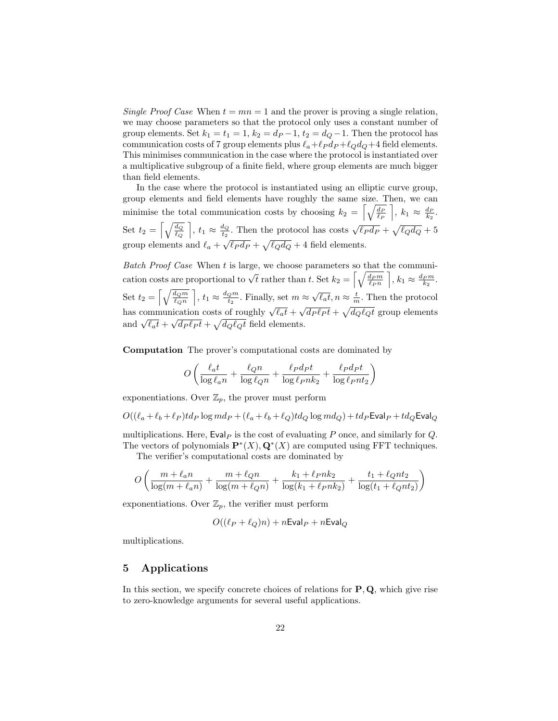Single Proof Case When  $t = mn = 1$  and the prover is proving a single relation, we may choose parameters so that the protocol only uses a constant number of group elements. Set  $k_1 = t_1 = 1$ ,  $k_2 = d_P - 1$ ,  $t_2 = d_Q - 1$ . Then the protocol has communication costs of 7 group elements plus  $\ell_a+\ell_P d_P +\ell_Q d_Q+4$  field elements. This minimises communication in the case where the protocol is instantiated over a multiplicative subgroup of a finite field, where group elements are much bigger than field elements.

In the case where the protocol is instantiated using an elliptic curve group, group elements and field elements have roughly the same size. Then, we can minimise the total communication costs by choosing  $k_2 = \left[\sqrt{\frac{dp}{\ell_P}}\,\,\right], k_1 \approx \frac{dp}{k_2}$ . Set  $t_2 = \left[\sqrt{\frac{d_Q}{\ell_Q}}\,\,\right], t_1 \approx \frac{d_Q}{t_2}$  $\frac{d_Q}{dt_2}$ . Then the protocol has costs  $\sqrt{\ell_P d_P} + \sqrt{\ell_Q d_Q} + 5$ group elements and  $\ell_a + \sqrt{\ell_P d_P} + \sqrt{\ell_Q d_Q} + 4$  field elements.

Batch Proof Case When  $t$  is large, we choose parameters so that the communication costs are proportional to  $\sqrt{t}$  rather than t. Set  $k_2 = \left[\sqrt{\frac{d_{Pm}}{\ell_{Pn}}}\right], k_1 \approx \frac{d_{Pm}}{k_2}$ . Set  $t_2 = \left[\sqrt{\frac{d_Q m}{\ell_Q n}}\,\,\right], t_1 \approx \frac{d_Q m}{t_2}$  $\frac{Q_m}{t_2}$ . Finally, set  $m \approx \sqrt{\ell_a t}$ ,  $n \approx \frac{t}{m}$ . Then the protocol has communication costs of roughly  $\sqrt{\ell_a t} + \sqrt{d_P \ell_P t} + \sqrt{d_Q \ell_Q t}$  group elements and  $\sqrt{\ell_a t} + \sqrt{d_P \ell_P t} + \sqrt{d_Q \ell_Q t}$  field elements.

Computation The prover's computational costs are dominated by

$$
O\left(\frac{\ell_a t}{\log \ell_a n} + \frac{\ell_Q n}{\log \ell_Q n} + \frac{\ell_P d_P t}{\log \ell_P n k_2} + \frac{\ell_P d_P t}{\log \ell_P n t_2}\right)
$$

exponentiations. Over  $\mathbb{Z}_p$ , the prover must perform

$$
O((\ell_a + \ell_b + \ell_P)td_P \log md_P + (\ell_a + \ell_b + \ell_Q)td_Q \log md_Q) + td_P \textsf{Eval}_P + td_Q \textsf{Eval}_Q
$$

multiplications. Here,  $Eval_P$  is the cost of evaluating P once, and similarly for Q. The vectors of polynomials  $\mathbf{P}^*(X), \mathbf{Q}^*(X)$  are computed using FFT techniques.

The verifier's computational costs are dominated by

$$
O\left(\frac{m + \ell_a n}{\log(m + \ell_a n)} + \frac{m + \ell_{Q}n}{\log(m + \ell_{Q}n)} + \frac{k_1 + \ell_{P}nk_2}{\log(k_1 + \ell_{P}nk_2)} + \frac{t_1 + \ell_{Q}nt_2}{\log(t_1 + \ell_{Q}nt_2)}\right)
$$

exponentiations. Over  $\mathbb{Z}_p$ , the verifier must perform

$$
O((\ell_P + \ell_Q)n) + n\text{Eval}_P + n\text{Eval}_Q
$$

multiplications.

# <span id="page-21-0"></span>5 Applications

In this section, we specify concrete choices of relations for  $P$ ,  $Q$ , which give rise to zero-knowledge arguments for several useful applications.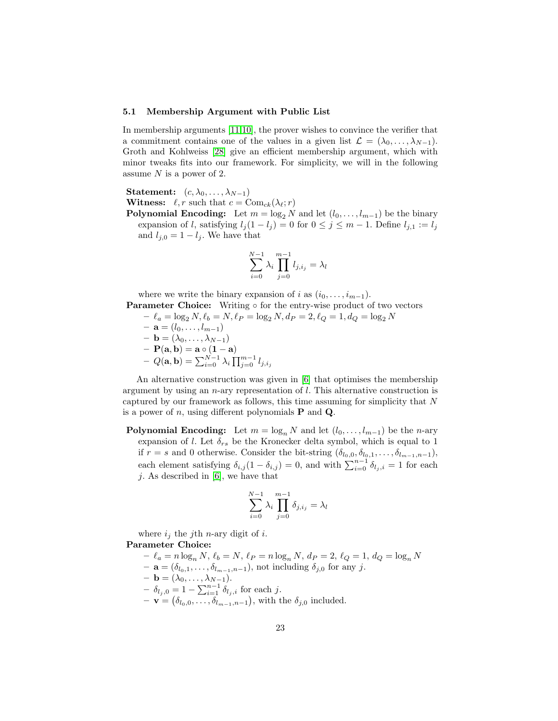#### <span id="page-22-0"></span>5.1 Membership Argument with Public List

In membership arguments [\[11,](#page-26-5)[10\]](#page-25-6), the prover wishes to convince the verifier that a commitment contains one of the values in a given list  $\mathcal{L} = (\lambda_0, \dots, \lambda_{N-1}).$ Groth and Kohlweiss [\[28\]](#page-26-0) give an efficient membership argument, which with minor tweaks fits into our framework. For simplicity, we will in the following assume  $N$  is a power of 2.

**Statement:**  $(c, \lambda_0, \ldots, \lambda_{N-1})$ 

**Witness:**  $\ell, r$  such that  $c = \text{Com}_{ck}(\lambda_{\ell}; r)$ 

**Polynomial Encoding:** Let  $m = \log_2 N$  and let  $(l_0, \ldots, l_{m-1})$  be the binary expansion of l, satisfying  $l_j(1 - l_j) = 0$  for  $0 \le j \le m - 1$ . Define  $l_{j,1} := l_j$ and  $l_{j,0} = 1 - l_j$ . We have that

$$
\sum_{i=0}^{N-1} \lambda_i \prod_{j=0}^{m-1} l_{j,i_j} = \lambda_l
$$

where we write the binary expansion of i as  $(i_0, \ldots, i_{m-1})$ . Parameter Choice: Writing ∘ for the entry-wise product of two vectors

- $-\ell_a = \log_2 N, \ell_b = N, \ell_P = \log_2 N, d_P = 2, \ell_Q = 1, d_Q = \log_2 N$
- $-$ **a** =  $(l_0, \ldots, l_{m-1})$
- $-$ **b** = ( $\lambda_0, \ldots, \lambda_{N-1}$ )
- $-~\mathbf{P}(\mathbf{a},\mathbf{b}) = \mathbf{a} \circ (\mathbf{1}-\mathbf{a})$
- $\,\, Q(\mathbf{a},\mathbf{b}) = \sum_{i=0}^{N-1} \lambda_i \prod_{j=0}^{m-1} l_{j,i_j}$

An alternative construction was given in [\[6\]](#page-25-2) that optimises the membership argument by using an  $n$ -ary representation of  $l$ . This alternative construction is captured by our framework as follows, this time assuming for simplicity that N is a power of n, using different polynomials  $P$  and  $Q$ .

**Polynomial Encoding:** Let  $m = \log_n N$  and let  $(l_0, \ldots, l_{m-1})$  be the *n*-ary expansion of l. Let  $\delta_{rs}$  be the Kronecker delta symbol, which is equal to 1 if  $r = s$  and 0 otherwise. Consider the bit-string  $(\delta_{l_0,0}, \delta_{l_0,1}, \ldots, \delta_{l_{m-1},n-1}),$ each element satisfying  $\delta_{i,j}(1-\delta_{i,j})=0$ , and with  $\sum_{i=0}^{n-1} \delta_{l_j,i}=1$  for each  $j.$  As described in [\[6\]](#page-25-2), we have that

$$
\sum_{i=0}^{N-1} \lambda_i \prod_{j=0}^{m-1} \delta_{j,i_j} = \lambda_l
$$

where  $i_j$  the j<sup>th</sup> *n*-ary digit of *i*.

## Parameter Choice:

- $-\ell_a = n \log_n N, \ell_b = N, \ell_P = n \log_n N, d_P = 2, \ell_Q = 1, d_Q = \log_n N$
- $\mathbf{a} = (\delta_{l_0,1}, \ldots, \delta_{l_{m-1},n-1}),$  not including  $\delta_{j,0}$  for any j.
- $-$ **b** =  $(\lambda_0, \ldots, \lambda_{N-1}).$
- $\delta_{l_j,0} = 1 \sum_{i=1}^{n-1} \delta_{l_j,i}$  for each j.
- $\mathbf{v} = (\delta_{l_0,0}, \ldots, \delta_{l_{m-1},n-1}),$  with the  $\delta_{j,0}$  included.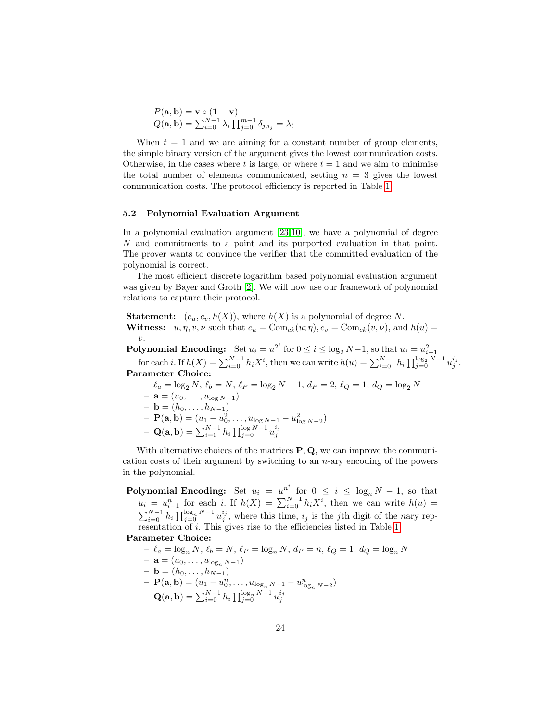$$
- P(\mathbf{a}, \mathbf{b}) = \mathbf{v} \circ (\mathbf{1} - \mathbf{v})
$$
  
- Q(\mathbf{a}, \mathbf{b}) = \sum\_{i=0}^{N-1} \lambda\_i \prod\_{j=0}^{m-1} \delta\_{j, i\_j} = \lambda\_l

When  $t = 1$  and we are aiming for a constant number of group elements, the simple binary version of the argument gives the lowest communication costs. Otherwise, in the cases where t is large, or where  $t = 1$  and we aim to minimise the total number of elements communicated, setting  $n = 3$  gives the lowest communication costs. The protocol efficiency is reported in Table [1.](#page-4-0)

#### <span id="page-23-0"></span>5.2 Polynomial Evaluation Argument

In a polynomial evaluation argument [\[23,](#page-26-6)[10\]](#page-25-6), we have a polynomial of degree N and commitments to a point and its purported evaluation in that point. The prover wants to convince the verifier that the committed evaluation of the polynomial is correct.

The most efficient discrete logarithm based polynomial evaluation argument was given by Bayer and Groth [\[2\]](#page-25-1). We will now use our framework of polynomial relations to capture their protocol.

**Statement:**  $(c_u, c_v, h(X))$ , where  $h(X)$  is a polynomial of degree N. **Witness:**  $u, \eta, v, \nu$  such that  $c_u = \text{Com}_{ck}(u; \eta), c_v = \text{Com}_{ck}(v, \nu)$ , and  $h(u) =$ v.

**Polynomial Encoding:** Set  $u_i = u^{2^i}$  for  $0 \le i \le \log_2 N - 1$ , so that  $u_i = u_{i-1}^2$  for each *i*. If  $h(X) = \sum_{i=0}^{N-1} h_i X^i$ , then we can write  $h(u) = \sum_{i=0}^{N-1} h_i \prod_{j=0}^{\log_2 N - 1} u_j^{i_j}$ . Parameter Choice:

- $− \ell_a = \log_2 N, \, \ell_b = N, \, \ell_P = \log_2 N 1, \, d_P = 2, \, \ell_Q = 1, \, d_Q = \log_2 N$
- $\mathbf{a} = (u_0, \dots, u_{\log N-1})$
- $-$ **b** =  $(h_0, \ldots, h_{N-1})$
- $\mathbf{P}(\mathbf{a}, \mathbf{b}) = (u_1 u_0^2, \dots, u_{\log N 1} u_{\log N 2}^2)$  $- \; {\bf Q}({\bf a},{\bf b}) = \sum_{i=0}^{N-1} h_i \prod_{j=0}^{\log N-1} u_j^{i_j}$

With alternative choices of the matrices  $P, Q$ , we can improve the communication costs of their argument by switching to an  $n$ -ary encoding of the powers in the polynomial.

**Polynomial Encoding:** Set  $u_i = u^{n^i}$  for  $0 \leq i \leq \log_n N - 1$ , so that  $u_i = u_{i-1}^n$  for each i. If  $h(X) = \sum_{i=0}^{N-1} h_i X^i$ , then we can write  $h(u)$  $\sum_{i=0}^{N-1} h_i \prod_{j=0}^{\log_n N-1} u_j^{i_j}$ , where this time,  $i_j$  is the jth digit of the nary representation of *i*. This gives rise to the efficiencies listed in Table [1.](#page-4-0)

Parameter Choice:

- 
$$
\ell_a = \log_n N
$$
,  $\ell_b = N$ ,  $\ell_P = \log_n N$ ,  $d_P = n$ ,  $\ell_Q = 1$ ,  $d_Q = \log_n N$   
\n-  $\mathbf{a} = (u_0, \dots, u_{\log_n N - 1})$   
\n-  $\mathbf{b} = (h_0, \dots, h_{N-1})$   
\n-  $\mathbf{P}(\mathbf{a}, \mathbf{b}) = (u_1 - u_0^n, \dots, u_{\log_n N - 1} - u_{\log_n N - 2}^n)$   
\n-  $\mathbf{Q}(\mathbf{a}, \mathbf{b}) = \sum_{i=0}^{N-1} h_i \prod_{j=0}^{\log_n N - 1} u_j^{i_j}$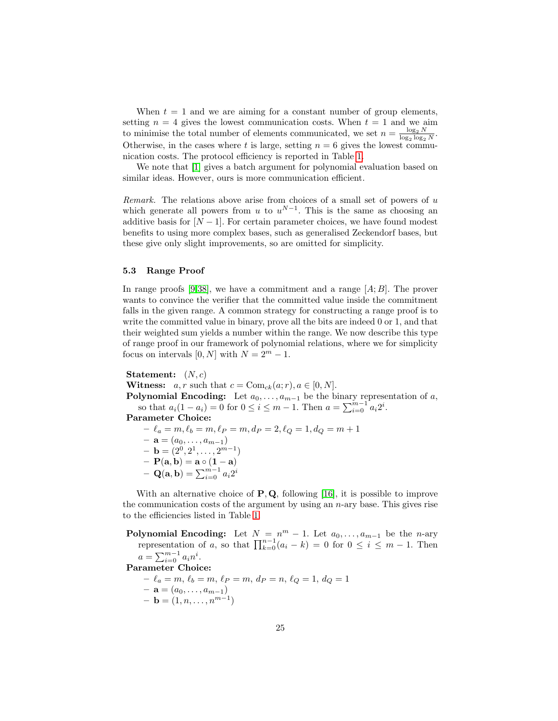When  $t = 1$  and we are aiming for a constant number of group elements, setting  $n = 4$  gives the lowest communication costs. When  $t = 1$  and we aim to minimise the total number of elements communicated, we set  $n = \frac{\log_2 N}{\log_2 \log_2 N}$  $\frac{\log_2 N}{\log_2 \log_2 N}.$ Otherwise, in the cases where t is large, setting  $n = 6$  gives the lowest communication costs. The protocol efficiency is reported in Table [1.](#page-4-0)

We note that  $[1]$  gives a batch argument for polynomial evaluation based on similar ideas. However, ours is more communication efficient.

Remark. The relations above arise from choices of a small set of powers of  $u$ which generate all powers from u to  $u^{N-1}$ . This is the same as choosing an additive basis for  $[N-1]$ . For certain parameter choices, we have found modest benefits to using more complex bases, such as generalised Zeckendorf bases, but these give only slight improvements, so are omitted for simplicity.

#### <span id="page-24-0"></span>5.3 Range Proof

In range proofs [\[9,](#page-25-7)[38\]](#page-27-6), we have a commitment and a range  $[A;B]$ . The prover wants to convince the verifier that the committed value inside the commitment falls in the given range. A common strategy for constructing a range proof is to write the committed value in binary, prove all the bits are indeed 0 or 1, and that their weighted sum yields a number within the range. We now describe this type of range proof in our framework of polynomial relations, where we for simplicity focus on intervals [0, N] with  $N = 2^m - 1$ .

Statement:  $(N, c)$ 

**Witness:**  $a, r$  such that  $c = \text{Com}_{ck}(a; r), a \in [0, N].$ 

**Polynomial Encoding:** Let  $a_0, \ldots, a_{m-1}$  be the binary representation of a, so that  $a_i(1 - a_i) = 0$  for  $0 \le i \le m - 1$ . Then  $a = \sum_{i=0}^{m-1} a_i 2^i$ .

Parameter Choice:

 $- \ell_a = m, \ell_b = m, \ell_P = m, d_P = 2, \ell_Q = 1, d_Q = m + 1$ 

- $\mathbf{a} = (a_0, \ldots, a_{m-1})$
- $\mathbf{b} = (2^0, 2^1, \dots, 2^{m-1})$
- $-{\bf P}({\bf a},{\bf b})={\bf a}\circ ({\bf 1}-{\bf a})$
- $\mathbf{Q}(\mathbf{a}, \mathbf{b}) = \sum_{i=0}^{m-1} a_i 2^i$

With an alternative choice of  $P$ ,  $Q$ , following [\[16\]](#page-26-14), it is possible to improve the communication costs of the argument by using an  $n$ -ary base. This gives rise to the efficiencies listed in Table [1.](#page-4-0)

Polynomial Encoding: Let  $N = n^m - 1$ . Let  $a_0, \ldots, a_{m-1}$  be the *n*-ary representation of a, so that  $\prod_{k=0}^{n-1} (a_i - k) = 0$  for  $0 \le i \le m - 1$ . Then  $a = \sum_{i=0}^{m-1} a_i n^i$ . Parameter Choice:  $- \ell_a = m, \, \ell_b = m, \, \ell_P = m, \, d_P = n, \, \ell_Q = 1, \, d_Q = 1$  $- \mathbf{a} = (a_0, \ldots, a_{m-1})$  $-$ **b** =  $(1, n, \ldots, n^{m-1})$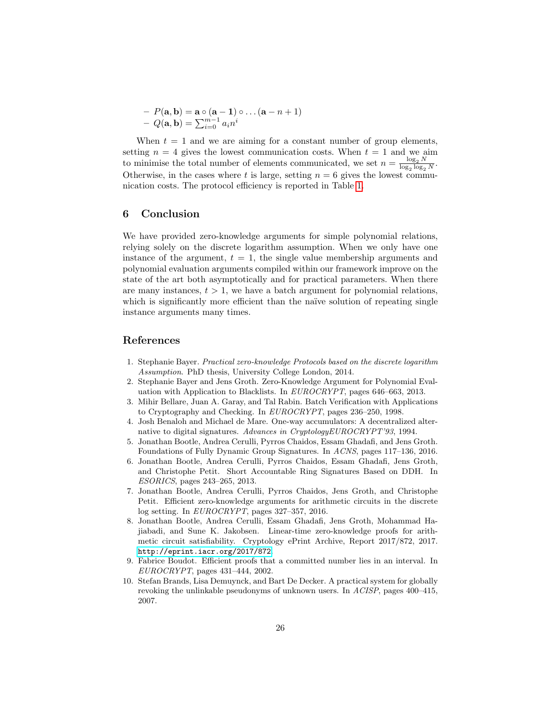$$
- P(\mathbf{a}, \mathbf{b}) = \mathbf{a} \circ (\mathbf{a} - \mathbf{1}) \circ \dots (\mathbf{a} - n + 1)
$$

$$
- Q(\mathbf{a}, \mathbf{b}) = \sum_{i=0}^{m-1} a_i n^i
$$

When  $t = 1$  and we are aiming for a constant number of group elements, setting  $n = 4$  gives the lowest communication costs. When  $t = 1$  and we aim to minimise the total number of elements communicated, we set  $n = \frac{\log_2 N}{\log_2 \log n}$  $\frac{\log_2 1}{\log_2 \log_2 N}$ . Otherwise, in the cases where t is large, setting  $n = 6$  gives the lowest communication costs. The protocol efficiency is reported in Table [1.](#page-4-0)

# 6 Conclusion

We have provided zero-knowledge arguments for simple polynomial relations, relying solely on the discrete logarithm assumption. When we only have one instance of the argument,  $t = 1$ , the single value membership arguments and polynomial evaluation arguments compiled within our framework improve on the state of the art both asymptotically and for practical parameters. When there are many instances,  $t > 1$ , we have a batch argument for polynomial relations, which is significantly more efficient than the naïve solution of repeating single instance arguments many times.

# References

- <span id="page-25-3"></span>1. Stephanie Bayer. Practical zero-knowledge Protocols based on the discrete logarithm Assumption. PhD thesis, University College London, 2014.
- <span id="page-25-1"></span>2. Stephanie Bayer and Jens Groth. Zero-Knowledge Argument for Polynomial Evaluation with Application to Blacklists. In EUROCRYPT, pages 646–663, 2013.
- <span id="page-25-5"></span>3. Mihir Bellare, Juan A. Garay, and Tal Rabin. Batch Verification with Applications to Cryptography and Checking. In EUROCRYPT, pages 236–250, 1998.
- <span id="page-25-8"></span>4. Josh Benaloh and Michael de Mare. One-way accumulators: A decentralized alternative to digital signatures. Advances in CryptologyEUROCRYPT'93, 1994.
- <span id="page-25-9"></span>5. Jonathan Bootle, Andrea Cerulli, Pyrros Chaidos, Essam Ghadafi, and Jens Groth. Foundations of Fully Dynamic Group Signatures. In ACNS, pages 117–136, 2016.
- <span id="page-25-2"></span>6. Jonathan Bootle, Andrea Cerulli, Pyrros Chaidos, Essam Ghadafi, Jens Groth, and Christophe Petit. Short Accountable Ring Signatures Based on DDH. In ESORICS, pages 243–265, 2013.
- <span id="page-25-0"></span>7. Jonathan Bootle, Andrea Cerulli, Pyrros Chaidos, Jens Groth, and Christophe Petit. Efficient zero-knowledge arguments for arithmetic circuits in the discrete log setting. In EUROCRYPT, pages 327–357, 2016.
- <span id="page-25-4"></span>8. Jonathan Bootle, Andrea Cerulli, Essam Ghadafi, Jens Groth, Mohammad Hajiabadi, and Sune K. Jakobsen. Linear-time zero-knowledge proofs for arithmetic circuit satisfiability. Cryptology ePrint Archive, Report 2017/872, 2017. <http://eprint.iacr.org/2017/872>.
- <span id="page-25-7"></span>9. Fabrice Boudot. Efficient proofs that a committed number lies in an interval. In EUROCRYPT, pages 431–444, 2002.
- <span id="page-25-6"></span>10. Stefan Brands, Lisa Demuynck, and Bart De Decker. A practical system for globally revoking the unlinkable pseudonyms of unknown users. In ACISP, pages 400–415, 2007.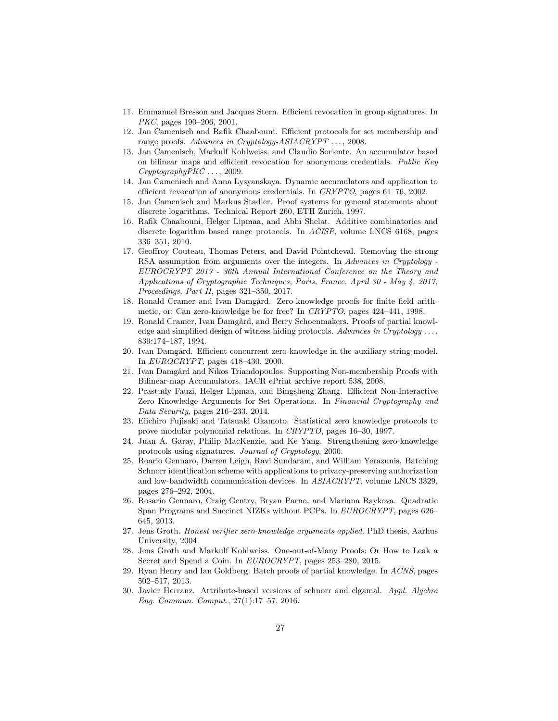- <span id="page-26-5"></span>11. Emmanuel Bresson and Jacques Stern. Efficient revocation in group signatures. In PKC, pages 190–206, 2001.
- <span id="page-26-10"></span>12. Jan Camenisch and Rafik Chaabouni. Efficient protocols for set membership and range proofs. Advances in Cryptology-ASIACRYPT ..., 2008.
- <span id="page-26-15"></span>13. Jan Camenisch, Markulf Kohlweiss, and Claudio Soriente. An accumulator based on bilinear maps and efficient revocation for anonymous credentials. Public Key  $Cryptography PKC \ldots$ , 2009.
- <span id="page-26-16"></span>14. Jan Camenisch and Anna Lysyanskaya. Dynamic accumulators and application to efficient revocation of anonymous credentials. In CRYPTO, pages 61–76, 2002.
- <span id="page-26-1"></span>15. Jan Camenisch and Markus Stadler. Proof systems for general statements about discrete logarithms. Technical Report 260, ETH Zurich, 1997.
- <span id="page-26-14"></span>16. Rafik Chaabouni, Helger Lipmaa, and Abhi Shelat. Additive combinatorics and discrete logarithm based range protocols. In ACISP, volume LNCS 6168, pages 336–351, 2010.
- <span id="page-26-12"></span>17. Geoffroy Couteau, Thomas Peters, and David Pointcheval. Removing the strong RSA assumption from arguments over the integers. In Advances in Cryptology -EUROCRYPT 2017 - 36th Annual International Conference on the Theory and Applications of Cryptographic Techniques, Paris, France, April 30 - May 4, 2017, Proceedings, Part II, pages 321–350, 2017.
- <span id="page-26-7"></span>18. Ronald Cramer and Ivan Damgård. Zero-knowledge proofs for finite field arithmetic, or: Can zero-knowledge be for free? In CRYPTO, pages 424–441, 1998.
- <span id="page-26-8"></span>19. Ronald Cramer, Ivan Damgård, and Berry Schoenmakers. Proofs of partial knowledge and simplified design of witness hiding protocols. Advances in Cryptology  $\dots$ , 839:174–187, 1994.
- <span id="page-26-19"></span>20. Ivan Damgård. Efficient concurrent zero-knowledge in the auxiliary string model. In EUROCRYPT, pages 418–430, 2000.
- <span id="page-26-17"></span>21. Ivan Damgård and Nikos Triandopoulos. Supporting Non-membership Proofs with Bilinear-map Accumulators. IACR ePrint archive report 538, 2008.
- <span id="page-26-11"></span>22. Prastudy Fauzi, Helger Lipmaa, and Bingsheng Zhang. Efficient Non-Interactive Zero Knowledge Arguments for Set Operations. In Financial Cryptography and Data Security, pages 216–233, 2014.
- <span id="page-26-6"></span>23. Eiichiro Fujisaki and Tatsuaki Okamoto. Statistical zero knowledge protocols to prove modular polynomial relations. In CRYPTO, pages 16–30, 1997.
- <span id="page-26-18"></span>24. Juan A. Garay, Philip MacKenzie, and Ke Yang. Strengthening zero-knowledge protocols using signatures. Journal of Cryptology, 2006.
- <span id="page-26-3"></span>25. Roario Gennaro, Darren Leigh, Ravi Sundaram, and William Yerazunis. Batching Schnorr identification scheme with applications to privacy-preserving authorization and low-bandwidth communication devices. In ASIACRYPT, volume LNCS 3329, pages 276–292, 2004.
- <span id="page-26-2"></span>26. Rosario Gennaro, Craig Gentry, Bryan Parno, and Mariana Raykova. Quadratic Span Programs and Succinct NIZKs without PCPs. In EUROCRYPT, pages 626– 645, 2013.
- <span id="page-26-13"></span>27. Jens Groth. Honest verifier zero-knowledge arguments applied. PhD thesis, Aarhus University, 2004.
- <span id="page-26-0"></span>28. Jens Groth and Markulf Kohlweiss. One-out-of-Many Proofs: Or How to Leak a Secret and Spend a Coin. In EUROCRYPT, pages 253–280, 2015.
- <span id="page-26-4"></span>29. Ryan Henry and Ian Goldberg. Batch proofs of partial knowledge. In ACNS, pages 502–517, 2013.
- <span id="page-26-9"></span>30. Javier Herranz. Attribute-based versions of schnorr and elgamal. Appl. Algebra Eng. Commun. Comput., 27(1):17–57, 2016.